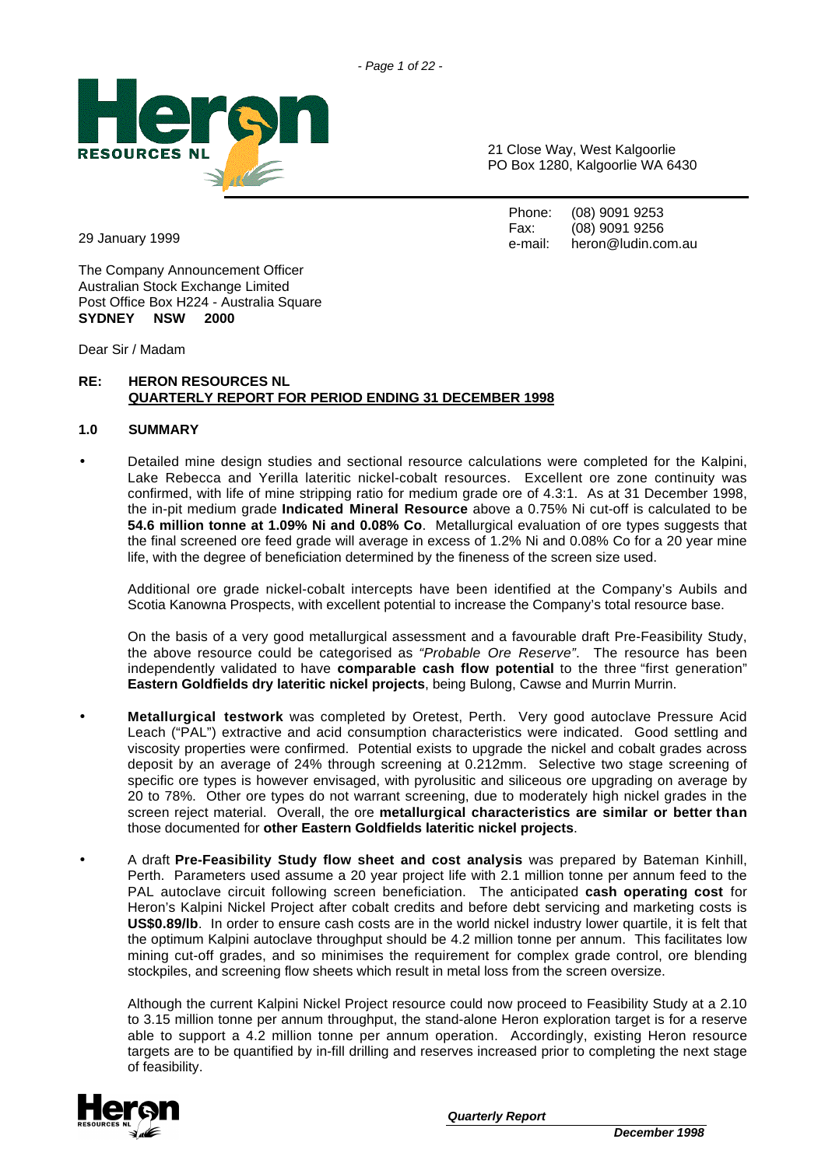*- Page 1 of 22 -*



21 Close Way, West Kalgoorlie PO Box 1280, Kalgoorlie WA 6430

Phone: (08) 9091 9253 Fax: (08) 9091 9256 e-mail: heron@ludin.com.au

The Company Announcement Officer Australian Stock Exchange Limited Post Office Box H224 - Australia Square

#### **SYDNEY NSW 2000**

Dear Sir / Madam

29 January 1999

### **RE: HERON RESOURCES NL QUARTERLY REPORT FOR PERIOD ENDING 31 DECEMBER 1998**

#### **1.0 SUMMARY**

• Detailed mine design studies and sectional resource calculations were completed for the Kalpini, Lake Rebecca and Yerilla lateritic nickel-cobalt resources. Excellent ore zone continuity was confirmed, with life of mine stripping ratio for medium grade ore of 4.3:1. As at 31 December 1998, the in-pit medium grade **Indicated Mineral Resource** above a 0.75% Ni cut-off is calculated to be **54.6 million tonne at 1.09% Ni and 0.08% Co**. Metallurgical evaluation of ore types suggests that the final screened ore feed grade will average in excess of 1.2% Ni and 0.08% Co for a 20 year mine life, with the degree of beneficiation determined by the fineness of the screen size used.

Additional ore grade nickel-cobalt intercepts have been identified at the Company's Aubils and Scotia Kanowna Prospects, with excellent potential to increase the Company's total resource base.

On the basis of a very good metallurgical assessment and a favourable draft Pre-Feasibility Study, the above resource could be categorised as *"Probable Ore Reserve"*. The resource has been independently validated to have **comparable cash flow potential** to the three "first generation" **Eastern Goldfields dry lateritic nickel projects**, being Bulong, Cawse and Murrin Murrin.

- **Metallurgical testwork** was completed by Oretest, Perth. Very good autoclave Pressure Acid Leach ("PAL") extractive and acid consumption characteristics were indicated. Good settling and viscosity properties were confirmed. Potential exists to upgrade the nickel and cobalt grades across deposit by an average of 24% through screening at 0.212mm. Selective two stage screening of specific ore types is however envisaged, with pyrolusitic and siliceous ore upgrading on average by 20 to 78%. Other ore types do not warrant screening, due to moderately high nickel grades in the screen reject material. Overall, the ore **metallurgical characteristics are similar or better than** those documented for **other Eastern Goldfields lateritic nickel projects**.
- A draft **Pre-Feasibility Study flow sheet and cost analysis** was prepared by Bateman Kinhill, Perth. Parameters used assume a 20 year project life with 2.1 million tonne per annum feed to the PAL autoclave circuit following screen beneficiation. The anticipated **cash operating cost** for Heron's Kalpini Nickel Project after cobalt credits and before debt servicing and marketing costs is **US\$0.89/lb**. In order to ensure cash costs are in the world nickel industry lower quartile, it is felt that the optimum Kalpini autoclave throughput should be 4.2 million tonne per annum. This facilitates low mining cut-off grades, and so minimises the requirement for complex grade control, ore blending stockpiles, and screening flow sheets which result in metal loss from the screen oversize.

Although the current Kalpini Nickel Project resource could now proceed to Feasibility Study at a 2.10 to 3.15 million tonne per annum throughput, the stand-alone Heron exploration target is for a reserve able to support a 4.2 million tonne per annum operation. Accordingly, existing Heron resource targets are to be quantified by in-fill drilling and reserves increased prior to completing the next stage of feasibility.

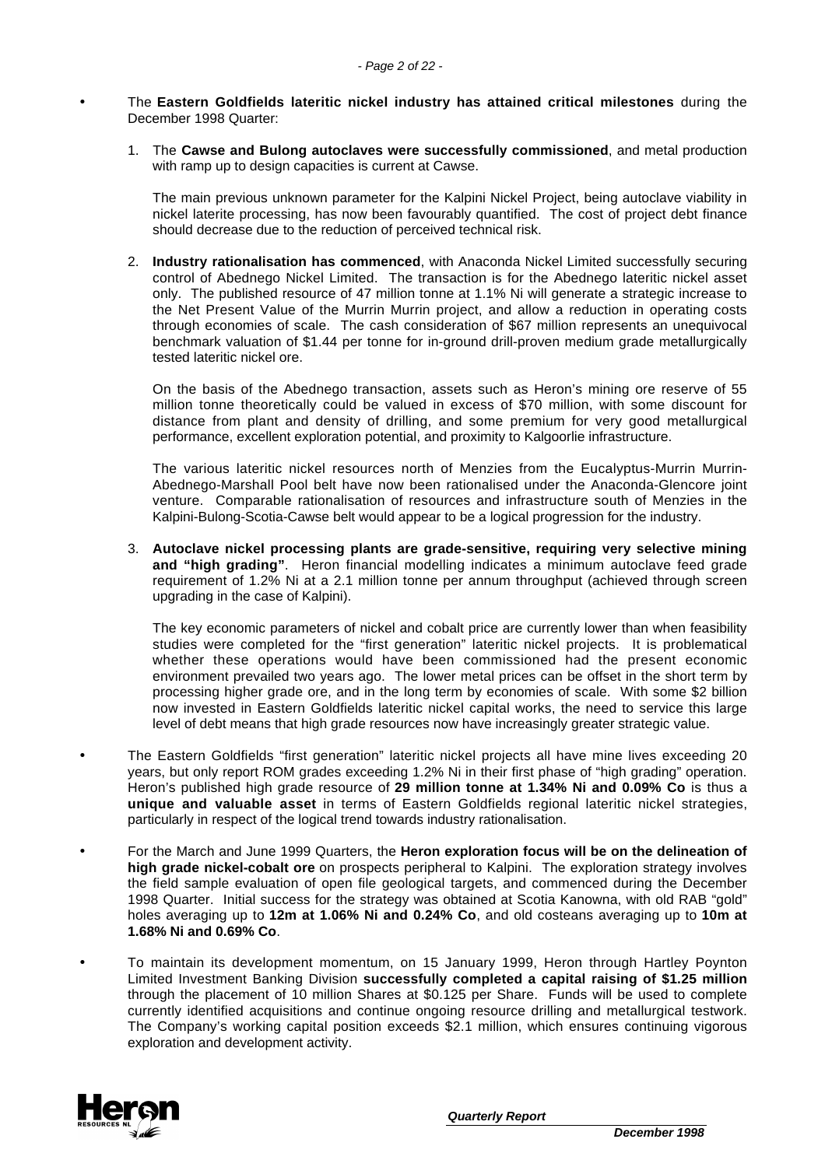- The **Eastern Goldfields lateritic nickel industry has attained critical milestones** during the December 1998 Quarter:
	- 1. The **Cawse and Bulong autoclaves were successfully commissioned**, and metal production with ramp up to design capacities is current at Cawse.

The main previous unknown parameter for the Kalpini Nickel Project, being autoclave viability in nickel laterite processing, has now been favourably quantified. The cost of project debt finance should decrease due to the reduction of perceived technical risk.

2. **Industry rationalisation has commenced**, with Anaconda Nickel Limited successfully securing control of Abednego Nickel Limited. The transaction is for the Abednego lateritic nickel asset only. The published resource of 47 million tonne at 1.1% Ni will generate a strategic increase to the Net Present Value of the Murrin Murrin project, and allow a reduction in operating costs through economies of scale. The cash consideration of \$67 million represents an unequivocal benchmark valuation of \$1.44 per tonne for in-ground drill-proven medium grade metallurgically tested lateritic nickel ore.

On the basis of the Abednego transaction, assets such as Heron's mining ore reserve of 55 million tonne theoretically could be valued in excess of \$70 million, with some discount for distance from plant and density of drilling, and some premium for very good metallurgical performance, excellent exploration potential, and proximity to Kalgoorlie infrastructure.

The various lateritic nickel resources north of Menzies from the Eucalyptus-Murrin Murrin-Abednego-Marshall Pool belt have now been rationalised under the Anaconda-Glencore joint venture. Comparable rationalisation of resources and infrastructure south of Menzies in the Kalpini-Bulong-Scotia-Cawse belt would appear to be a logical progression for the industry.

3. **Autoclave nickel processing plants are grade-sensitive, requiring very selective mining and "high grading"**. Heron financial modelling indicates a minimum autoclave feed grade requirement of 1.2% Ni at a 2.1 million tonne per annum throughput (achieved through screen upgrading in the case of Kalpini).

The key economic parameters of nickel and cobalt price are currently lower than when feasibility studies were completed for the "first generation" lateritic nickel projects. It is problematical whether these operations would have been commissioned had the present economic environment prevailed two years ago. The lower metal prices can be offset in the short term by processing higher grade ore, and in the long term by economies of scale. With some \$2 billion now invested in Eastern Goldfields lateritic nickel capital works, the need to service this large level of debt means that high grade resources now have increasingly greater strategic value.

- The Eastern Goldfields "first generation" lateritic nickel projects all have mine lives exceeding 20 years, but only report ROM grades exceeding 1.2% Ni in their first phase of "high grading" operation. Heron's published high grade resource of **29 million tonne at 1.34% Ni and 0.09% Co** is thus a **unique and valuable asset** in terms of Eastern Goldfields regional lateritic nickel strategies, particularly in respect of the logical trend towards industry rationalisation.
- For the March and June 1999 Quarters, the **Heron exploration focus will be on the delineation of high grade nickel-cobalt ore** on prospects peripheral to Kalpini. The exploration strategy involves the field sample evaluation of open file geological targets, and commenced during the December 1998 Quarter. Initial success for the strategy was obtained at Scotia Kanowna, with old RAB "gold" holes averaging up to **12m at 1.06% Ni and 0.24% Co**, and old costeans averaging up to **10m at 1.68% Ni and 0.69% Co**.
- To maintain its development momentum, on 15 January 1999, Heron through Hartley Poynton Limited Investment Banking Division **successfully completed a capital raising of \$1.25 million** through the placement of 10 million Shares at \$0.125 per Share. Funds will be used to complete currently identified acquisitions and continue ongoing resource drilling and metallurgical testwork. The Company's working capital position exceeds \$2.1 million, which ensures continuing vigorous exploration and development activity.

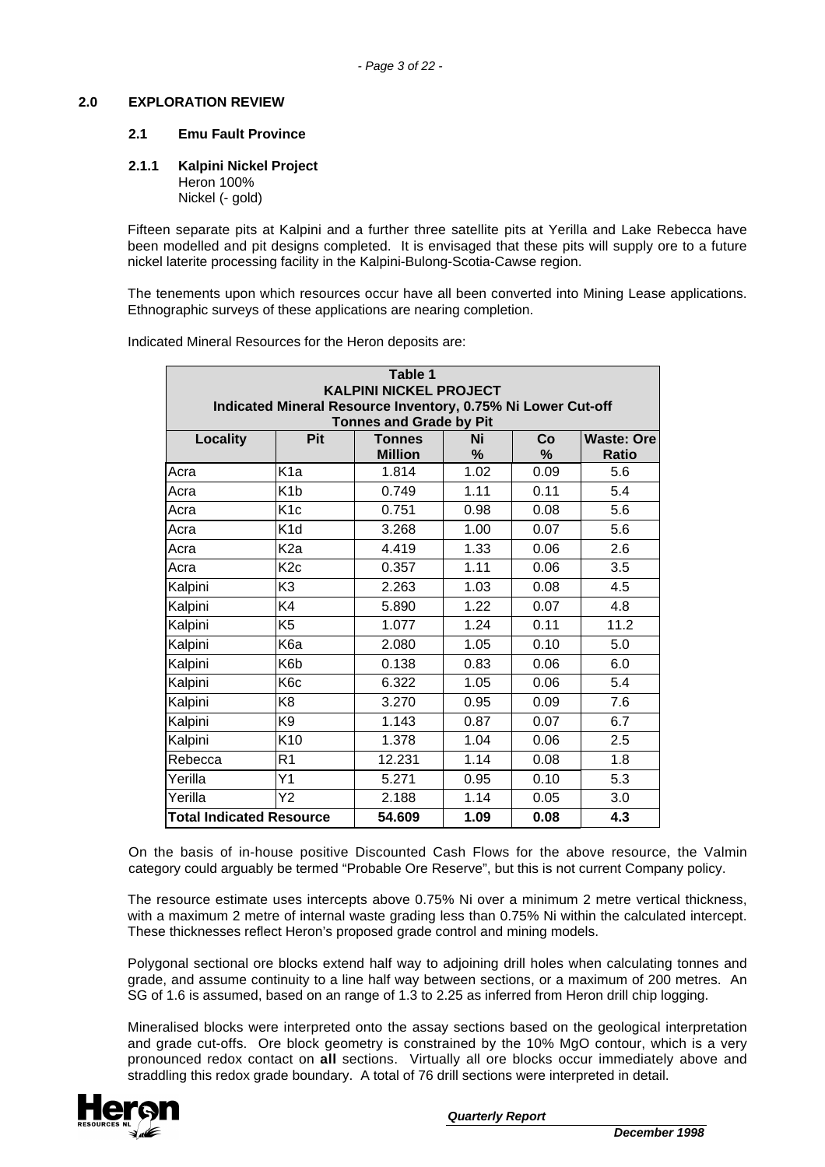### **2.0 EXPLORATION REVIEW**

### **2.1 Emu Fault Province**

### **2.1.1 Kalpini Nickel Project**

Heron 100% Nickel (- gold)

Fifteen separate pits at Kalpini and a further three satellite pits at Yerilla and Lake Rebecca have been modelled and pit designs completed. It is envisaged that these pits will supply ore to a future nickel laterite processing facility in the Kalpini-Bulong-Scotia-Cawse region.

The tenements upon which resources occur have all been converted into Mining Lease applications. Ethnographic surveys of these applications are nearing completion.

| Table 1<br><b>KALPINI NICKEL PROJECT</b><br>Indicated Mineral Resource Inventory, 0.75% Ni Lower Cut-off |                  |                |      |      |              |  |  |
|----------------------------------------------------------------------------------------------------------|------------------|----------------|------|------|--------------|--|--|
| <b>Tonnes and Grade by Pit</b><br>Pit<br>Locality<br>Ni<br>Co<br><b>Waste: Ore</b><br><b>Tonnes</b>      |                  |                |      |      |              |  |  |
|                                                                                                          |                  | <b>Million</b> | $\%$ | %    | <b>Ratio</b> |  |  |
| Acra                                                                                                     | K <sub>1</sub> a | 1.814          | 1.02 | 0.09 | 5.6          |  |  |
| Acra                                                                                                     | K <sub>1</sub> b | 0.749          | 1.11 | 0.11 | 5.4          |  |  |
| Acra                                                                                                     | K <sub>1c</sub>  | 0.751          | 0.98 | 0.08 | 5.6          |  |  |
| Acra                                                                                                     | K <sub>1</sub> d | 3.268          | 1.00 | 0.07 | 5.6          |  |  |
| Acra                                                                                                     | K <sub>2</sub> a | 4.419          | 1.33 | 0.06 | 2.6          |  |  |
| Acra                                                                                                     | K <sub>2c</sub>  | 0.357          | 1.11 | 0.06 | 3.5          |  |  |
| Kalpini                                                                                                  | K <sub>3</sub>   | 2.263          | 1.03 | 0.08 | 4.5          |  |  |
| Kalpini                                                                                                  | K4               | 5.890          | 1.22 | 0.07 | 4.8          |  |  |
| Kalpini                                                                                                  | K <sub>5</sub>   | 1.077          | 1.24 | 0.11 | 11.2         |  |  |
| Kalpini                                                                                                  | K <sub>6</sub> a | 2.080          | 1.05 | 0.10 | 5.0          |  |  |
| Kalpini                                                                                                  | K <sub>6</sub> b | 0.138          | 0.83 | 0.06 | 6.0          |  |  |
| Kalpini                                                                                                  | K <sub>6</sub> c | 6.322          | 1.05 | 0.06 | 5.4          |  |  |
| Kalpini                                                                                                  | K <sub>8</sub>   | 3.270          | 0.95 | 0.09 | 7.6          |  |  |
| Kalpini                                                                                                  | K <sub>9</sub>   | 1.143          | 0.87 | 0.07 | 6.7          |  |  |
| Kalpini                                                                                                  | K <sub>10</sub>  | 1.378          | 1.04 | 0.06 | 2.5          |  |  |
| Rebecca                                                                                                  | R <sub>1</sub>   | 12.231         | 1.14 | 0.08 | 1.8          |  |  |
| Yerilla                                                                                                  | Y1               | 5.271          | 0.95 | 0.10 | 5.3          |  |  |
| Yerilla                                                                                                  | Y2               | 2.188          | 1.14 | 0.05 | 3.0          |  |  |
| <b>Total Indicated Resource</b>                                                                          |                  | 54.609         | 1.09 | 0.08 | 4.3          |  |  |

Indicated Mineral Resources for the Heron deposits are:

On the basis of in-house positive Discounted Cash Flows for the above resource, the Valmin category could arguably be termed "Probable Ore Reserve", but this is not current Company policy.

The resource estimate uses intercepts above 0.75% Ni over a minimum 2 metre vertical thickness, with a maximum 2 metre of internal waste grading less than 0.75% Ni within the calculated intercept. These thicknesses reflect Heron's proposed grade control and mining models.

Polygonal sectional ore blocks extend half way to adjoining drill holes when calculating tonnes and grade, and assume continuity to a line half way between sections, or a maximum of 200 metres. An SG of 1.6 is assumed, based on an range of 1.3 to 2.25 as inferred from Heron drill chip logging.

Mineralised blocks were interpreted onto the assay sections based on the geological interpretation and grade cut-offs. Ore block geometry is constrained by the 10% MgO contour, which is a very pronounced redox contact on **all** sections. Virtually all ore blocks occur immediately above and straddling this redox grade boundary. A total of 76 drill sections were interpreted in detail.

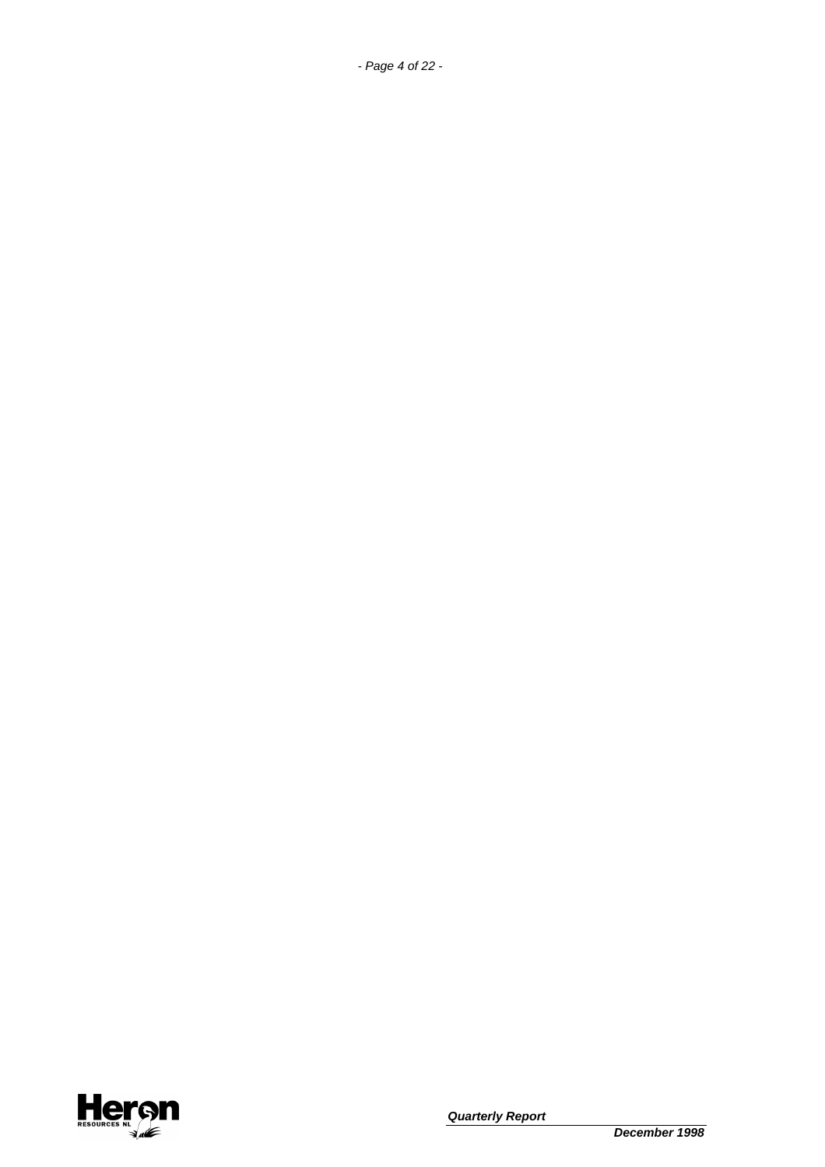*- Page 4 of 22 -*

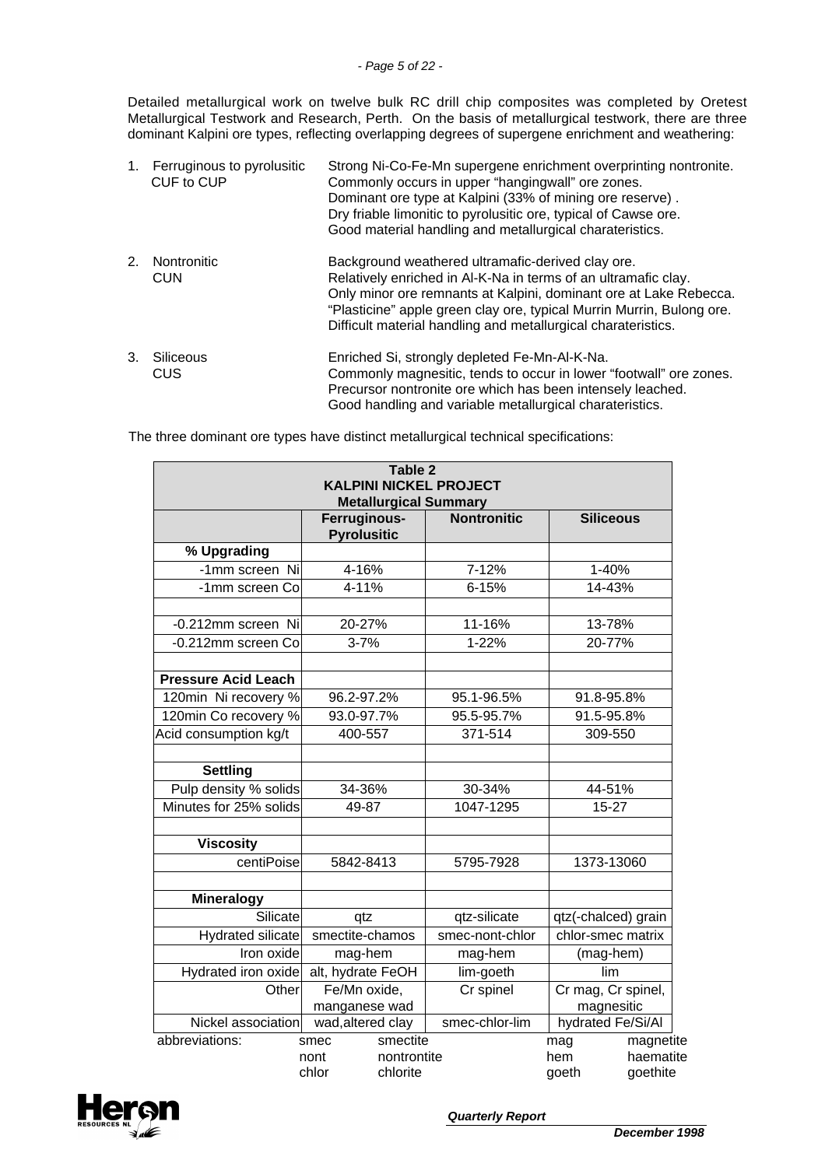Detailed metallurgical work on twelve bulk RC drill chip composites was completed by Oretest Metallurgical Testwork and Research, Perth. On the basis of metallurgical testwork, there are three dominant Kalpini ore types, reflecting overlapping degrees of supergene enrichment and weathering:

| 1.             | Ferruginous to pyrolusitic<br>CUF to CUP | Strong Ni-Co-Fe-Mn supergene enrichment overprinting nontronite.<br>Commonly occurs in upper "hangingwall" ore zones.<br>Dominant ore type at Kalpini (33% of mining ore reserve).<br>Dry friable limonitic to pyrolusitic ore, typical of Cawse ore.<br>Good material handling and metallurgical charateristics.                  |
|----------------|------------------------------------------|------------------------------------------------------------------------------------------------------------------------------------------------------------------------------------------------------------------------------------------------------------------------------------------------------------------------------------|
| 2 <sup>1</sup> | Nontronitic<br><b>CUN</b>                | Background weathered ultramafic-derived clay ore.<br>Relatively enriched in Al-K-Na in terms of an ultramafic clay.<br>Only minor ore remnants at Kalpini, dominant ore at Lake Rebecca.<br>"Plasticine" apple green clay ore, typical Murrin Murrin, Bulong ore.<br>Difficult material handling and metallurgical charateristics. |
| 3.             | Siliceous<br>CUS.                        | Enriched Si, strongly depleted Fe-Mn-Al-K-Na.<br>Commonly magnesitic, tends to occur in lower "footwall" ore zones.<br>Precursor nontronite ore which has been intensely leached.<br>Good handling and variable metallurgical charateristics.                                                                                      |

The three dominant ore types have distinct metallurgical technical specifications:

| Table 2<br><b>KALPINI NICKEL PROJECT</b><br><b>Metallurgical Summary</b>     |                               |                 |                                  |  |  |  |
|------------------------------------------------------------------------------|-------------------------------|-----------------|----------------------------------|--|--|--|
| <b>Nontronitic</b><br>Ferruginous-<br><b>Siliceous</b><br><b>Pyrolusitic</b> |                               |                 |                                  |  |  |  |
| % Upgrading                                                                  |                               |                 |                                  |  |  |  |
| -1mm screen Ni                                                               | 4-16%                         | 7-12%           | 1-40%                            |  |  |  |
| -1mm screen Co                                                               | $4 - 11%$                     | $6 - 15%$       | 14-43%                           |  |  |  |
| -0.212mm screen Ni                                                           | 20-27%                        | 11-16%          | 13-78%                           |  |  |  |
| -0.212mm screen Co                                                           | $3 - 7%$                      | $1 - 22%$       | 20-77%                           |  |  |  |
| <b>Pressure Acid Leach</b>                                                   |                               |                 |                                  |  |  |  |
| 120min Ni recovery %                                                         | 96.2-97.2%                    | 95.1-96.5%      | 91.8-95.8%                       |  |  |  |
| 120min Co recovery %                                                         | 93.0-97.7%                    | 95.5-95.7%      | 91.5-95.8%                       |  |  |  |
| Acid consumption kg/t                                                        | 400-557                       | 371-514         | 309-550                          |  |  |  |
| <b>Settling</b>                                                              |                               |                 |                                  |  |  |  |
| Pulp density % solids                                                        | 34-36%                        | 30-34%          | 44-51%                           |  |  |  |
| Minutes for 25% solids                                                       | 49-87                         | 1047-1295       | $15 - 27$                        |  |  |  |
| <b>Viscosity</b>                                                             |                               |                 |                                  |  |  |  |
| centiPoise                                                                   | 5842-8413                     | 5795-7928       | 1373-13060                       |  |  |  |
| <b>Mineralogy</b>                                                            |                               |                 |                                  |  |  |  |
| Silicate                                                                     | qtz                           | qtz-silicate    | qtz(-chalced) grain              |  |  |  |
| <b>Hydrated silicate</b>                                                     | smectite-chamos               | smec-nont-chlor | chlor-smec matrix                |  |  |  |
| Iron oxide                                                                   | mag-hem                       | mag-hem         | (mag-hem)                        |  |  |  |
| Hydrated iron oxide                                                          | alt, hydrate FeOH             | lim-goeth       | lim                              |  |  |  |
| Other                                                                        | Fe/Mn oxide,<br>manganese wad | Cr spinel       | Cr mag, Cr spinel,<br>magnesitic |  |  |  |
| Nickel association                                                           | wad, altered clay             | smec-chlor-lim  | hydrated Fe/Si/Al                |  |  |  |
| abbreviations:                                                               | smectite<br>smec              |                 | magnetite<br>mag                 |  |  |  |
|                                                                              | nontrontite<br>nont           |                 | hem<br>haematite                 |  |  |  |
|                                                                              | chlor<br>chlorite             |                 | goeth<br>goethite                |  |  |  |

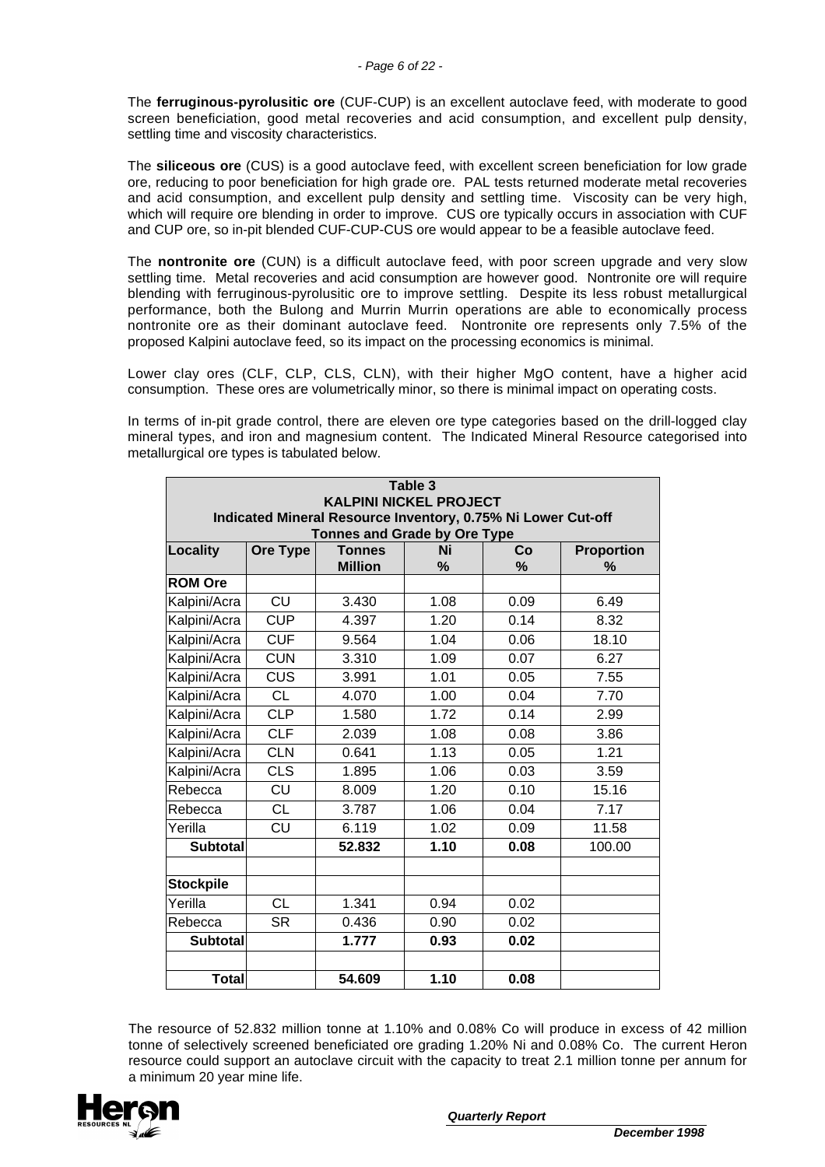The **ferruginous-pyrolusitic ore** (CUF-CUP) is an excellent autoclave feed, with moderate to good screen beneficiation, good metal recoveries and acid consumption, and excellent pulp density, settling time and viscosity characteristics.

The **siliceous ore** (CUS) is a good autoclave feed, with excellent screen beneficiation for low grade ore, reducing to poor beneficiation for high grade ore. PAL tests returned moderate metal recoveries and acid consumption, and excellent pulp density and settling time. Viscosity can be very high, which will require ore blending in order to improve. CUS ore typically occurs in association with CUF and CUP ore, so in-pit blended CUF-CUP-CUS ore would appear to be a feasible autoclave feed.

The **nontronite ore** (CUN) is a difficult autoclave feed, with poor screen upgrade and very slow settling time. Metal recoveries and acid consumption are however good. Nontronite ore will require blending with ferruginous-pyrolusitic ore to improve settling. Despite its less robust metallurgical performance, both the Bulong and Murrin Murrin operations are able to economically process nontronite ore as their dominant autoclave feed. Nontronite ore represents only 7.5% of the proposed Kalpini autoclave feed, so its impact on the processing economics is minimal.

Lower clay ores (CLF, CLP, CLS, CLN), with their higher MgO content, have a higher acid consumption. These ores are volumetrically minor, so there is minimal impact on operating costs.

In terms of in-pit grade control, there are eleven ore type categories based on the drill-logged clay mineral types, and iron and magnesium content. The Indicated Mineral Resource categorised into metallurgical ore types is tabulated below.

|                                                                                               | Table 3                                                                                                  |                |      |      |        |  |  |  |
|-----------------------------------------------------------------------------------------------|----------------------------------------------------------------------------------------------------------|----------------|------|------|--------|--|--|--|
| <b>KALPINI NICKEL PROJECT</b><br>Indicated Mineral Resource Inventory, 0.75% Ni Lower Cut-off |                                                                                                          |                |      |      |        |  |  |  |
|                                                                                               |                                                                                                          |                |      |      |        |  |  |  |
| <b>Locality</b>                                                                               | <b>Tonnes and Grade by Ore Type</b><br><b>Ore Type</b><br>Co<br><b>Proportion</b><br><b>Tonnes</b><br>Ni |                |      |      |        |  |  |  |
|                                                                                               |                                                                                                          | <b>Million</b> | %    | %    | $\%$   |  |  |  |
| <b>ROM Ore</b>                                                                                |                                                                                                          |                |      |      |        |  |  |  |
| Kalpini/Acra                                                                                  | <b>CU</b>                                                                                                | 3.430          | 1.08 | 0.09 | 6.49   |  |  |  |
| Kalpini/Acra                                                                                  | <b>CUP</b>                                                                                               | 4.397          | 1.20 | 0.14 | 8.32   |  |  |  |
| Kalpini/Acra                                                                                  | <b>CUF</b>                                                                                               | 9.564          | 1.04 | 0.06 | 18.10  |  |  |  |
| Kalpini/Acra                                                                                  | <b>CUN</b>                                                                                               | 3.310          | 1.09 | 0.07 | 6.27   |  |  |  |
| Kalpini/Acra                                                                                  | <b>CUS</b>                                                                                               | 3.991          | 1.01 | 0.05 | 7.55   |  |  |  |
| Kalpini/Acra                                                                                  | <b>CL</b>                                                                                                | 4.070          | 1.00 | 0.04 | 7.70   |  |  |  |
| Kalpini/Acra                                                                                  | <b>CLP</b>                                                                                               | 1.580          | 1.72 | 0.14 | 2.99   |  |  |  |
| Kalpini/Acra                                                                                  | <b>CLF</b>                                                                                               | 2.039          | 1.08 | 0.08 | 3.86   |  |  |  |
| Kalpini/Acra                                                                                  | <b>CLN</b>                                                                                               | 0.641          | 1.13 | 0.05 | 1.21   |  |  |  |
| Kalpini/Acra                                                                                  | <b>CLS</b>                                                                                               | 1.895          | 1.06 | 0.03 | 3.59   |  |  |  |
| Rebecca                                                                                       | <b>CU</b>                                                                                                | 8.009          | 1.20 | 0.10 | 15.16  |  |  |  |
| Rebecca                                                                                       | <b>CL</b>                                                                                                | 3.787          | 1.06 | 0.04 | 7.17   |  |  |  |
| Yerilla                                                                                       | <b>CU</b>                                                                                                | 6.119          | 1.02 | 0.09 | 11.58  |  |  |  |
| <b>Subtotal</b>                                                                               |                                                                                                          | 52.832         | 1.10 | 0.08 | 100.00 |  |  |  |
|                                                                                               |                                                                                                          |                |      |      |        |  |  |  |
| <b>Stockpile</b>                                                                              |                                                                                                          |                |      |      |        |  |  |  |
| Yerilla                                                                                       | <b>CL</b>                                                                                                | 1.341          | 0.94 | 0.02 |        |  |  |  |
| Rebecca                                                                                       | <b>SR</b>                                                                                                | 0.436          | 0.90 | 0.02 |        |  |  |  |
| <b>Subtotal</b>                                                                               |                                                                                                          | 1.777          | 0.93 | 0.02 |        |  |  |  |
|                                                                                               |                                                                                                          |                |      |      |        |  |  |  |
| <b>Total</b>                                                                                  |                                                                                                          | 54.609         | 1.10 | 0.08 |        |  |  |  |

The resource of 52.832 million tonne at 1.10% and 0.08% Co will produce in excess of 42 million tonne of selectively screened beneficiated ore grading 1.20% Ni and 0.08% Co. The current Heron resource could support an autoclave circuit with the capacity to treat 2.1 million tonne per annum for a minimum 20 year mine life.

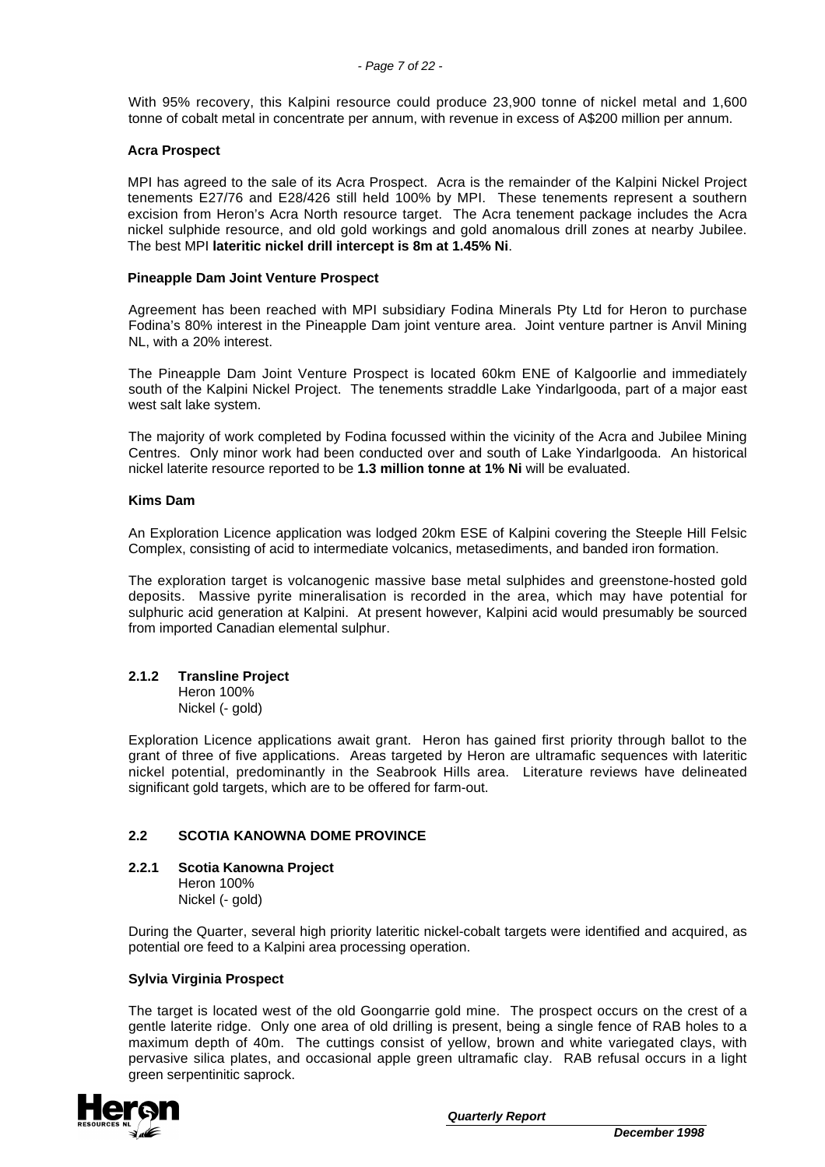With 95% recovery, this Kalpini resource could produce 23,900 tonne of nickel metal and 1,600 tonne of cobalt metal in concentrate per annum, with revenue in excess of A\$200 million per annum.

#### **Acra Prospect**

MPI has agreed to the sale of its Acra Prospect. Acra is the remainder of the Kalpini Nickel Project tenements E27/76 and E28/426 still held 100% by MPI. These tenements represent a southern excision from Heron's Acra North resource target. The Acra tenement package includes the Acra nickel sulphide resource, and old gold workings and gold anomalous drill zones at nearby Jubilee. The best MPI **lateritic nickel drill intercept is 8m at 1.45% Ni**.

#### **Pineapple Dam Joint Venture Prospect**

Agreement has been reached with MPI subsidiary Fodina Minerals Pty Ltd for Heron to purchase Fodina's 80% interest in the Pineapple Dam joint venture area. Joint venture partner is Anvil Mining NL, with a 20% interest.

The Pineapple Dam Joint Venture Prospect is located 60km ENE of Kalgoorlie and immediately south of the Kalpini Nickel Project. The tenements straddle Lake Yindarlgooda, part of a major east west salt lake system.

The majority of work completed by Fodina focussed within the vicinity of the Acra and Jubilee Mining Centres. Only minor work had been conducted over and south of Lake Yindarlgooda. An historical nickel laterite resource reported to be **1.3 million tonne at 1% Ni** will be evaluated.

#### **Kims Dam**

An Exploration Licence application was lodged 20km ESE of Kalpini covering the Steeple Hill Felsic Complex, consisting of acid to intermediate volcanics, metasediments, and banded iron formation.

The exploration target is volcanogenic massive base metal sulphides and greenstone-hosted gold deposits. Massive pyrite mineralisation is recorded in the area, which may have potential for sulphuric acid generation at Kalpini. At present however, Kalpini acid would presumably be sourced from imported Canadian elemental sulphur.

### **2.1.2 Transline Project**

Heron 100% Nickel (- gold)

Exploration Licence applications await grant. Heron has gained first priority through ballot to the grant of three of five applications. Areas targeted by Heron are ultramafic sequences with lateritic nickel potential, predominantly in the Seabrook Hills area. Literature reviews have delineated significant gold targets, which are to be offered for farm-out.

### **2.2 SCOTIA KANOWNA DOME PROVINCE**

#### **2.2.1 Scotia Kanowna Project** Heron 100% Nickel (- gold)

During the Quarter, several high priority lateritic nickel-cobalt targets were identified and acquired, as potential ore feed to a Kalpini area processing operation.

#### **Sylvia Virginia Prospect**

The target is located west of the old Goongarrie gold mine. The prospect occurs on the crest of a gentle laterite ridge. Only one area of old drilling is present, being a single fence of RAB holes to a maximum depth of 40m. The cuttings consist of yellow, brown and white variegated clays, with pervasive silica plates, and occasional apple green ultramafic clay. RAB refusal occurs in a light green serpentinitic saprock.

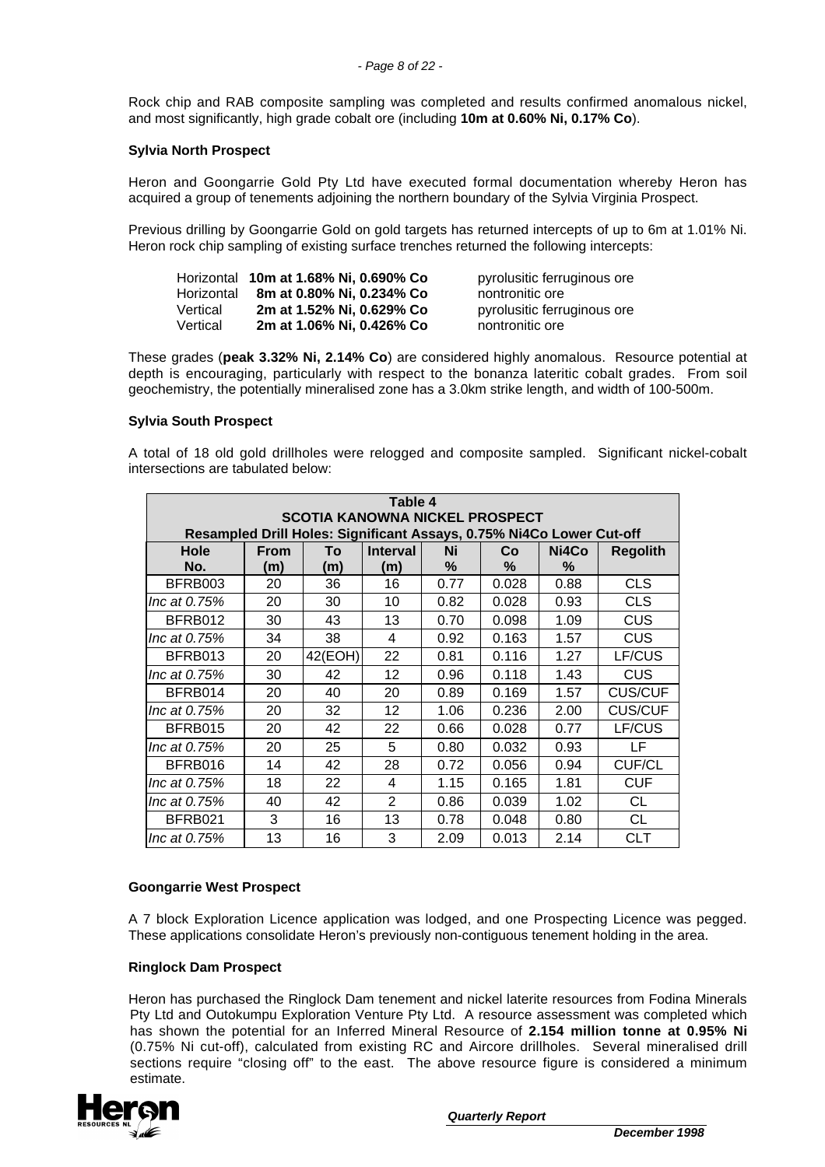Rock chip and RAB composite sampling was completed and results confirmed anomalous nickel, and most significantly, high grade cobalt ore (including **10m at 0.60% Ni, 0.17% Co**).

#### **Sylvia North Prospect**

Heron and Goongarrie Gold Pty Ltd have executed formal documentation whereby Heron has acquired a group of tenements adjoining the northern boundary of the Sylvia Virginia Prospect.

Previous drilling by Goongarrie Gold on gold targets has returned intercepts of up to 6m at 1.01% Ni. Heron rock chip sampling of existing surface trenches returned the following intercepts:

|            | Horizontal 10m at 1.68% Ni, 0.690% Co | pyrolusitic ferruginous ore |
|------------|---------------------------------------|-----------------------------|
| Horizontal | 8m at 0.80% Ni, 0.234% Co             | nontronitic ore             |
| Vertical   | 2m at 1.52% Ni, 0.629% Co             | pyrolusitic ferruginous ore |
| Vertical   | 2m at 1.06% Ni, 0.426% Co             | nontronitic ore             |

These grades (**peak 3.32% Ni, 2.14% Co**) are considered highly anomalous. Resource potential at depth is encouraging, particularly with respect to the bonanza lateritic cobalt grades. From soil geochemistry, the potentially mineralised zone has a 3.0km strike length, and width of 100-500m.

### **Sylvia South Prospect**

A total of 18 old gold drillholes were relogged and composite sampled. Significant nickel-cobalt intersections are tabulated below:

| Table 4<br><b>SCOTIA KANOWNA NICKEL PROSPECT</b> |                                                                              |                                                                      |     |      |       |      |                |
|--------------------------------------------------|------------------------------------------------------------------------------|----------------------------------------------------------------------|-----|------|-------|------|----------------|
|                                                  |                                                                              | Resampled Drill Holes: Significant Assays, 0.75% Ni4Co Lower Cut-off |     |      |       |      |                |
| Hole                                             | <b>Interval</b><br>Ni<br><b>From</b><br>To<br>Co<br>Ni4Co<br><b>Regolith</b> |                                                                      |     |      |       |      |                |
| No.                                              | (m)                                                                          | (m)                                                                  | (m) | %    | $\%$  | ℅    |                |
| BFRB003                                          | 20                                                                           | 36                                                                   | 16  | 0.77 | 0.028 | 0.88 | <b>CLS</b>     |
| l Inc at 0.75%                                   | 20                                                                           | 30                                                                   | 10  | 0.82 | 0.028 | 0.93 | <b>CLS</b>     |
| BFRB012                                          | 30                                                                           | 43                                                                   | 13  | 0.70 | 0.098 | 1.09 | CUS            |
| Inc at 0.75%                                     | 34                                                                           | 38                                                                   | 4   | 0.92 | 0.163 | 1.57 | CUS            |
| BFRB013                                          | 20                                                                           | 42(EOH)                                                              | 22  | 0.81 | 0.116 | 1.27 | <b>LF/CUS</b>  |
| l Inc at 0.75%                                   | 30                                                                           | 42                                                                   | 12  | 0.96 | 0.118 | 1.43 | CUS            |
| BFRB014                                          | 20                                                                           | 40                                                                   | 20  | 0.89 | 0.169 | 1.57 | <b>CUS/CUF</b> |
| Inc at 0.75%                                     | 20                                                                           | 32                                                                   | 12  | 1.06 | 0.236 | 2.00 | <b>CUS/CUF</b> |
| BFRB015                                          | 20                                                                           | 42                                                                   | 22  | 0.66 | 0.028 | 0.77 | <b>LF/CUS</b>  |
| Inc at 0.75%                                     | 20                                                                           | 25                                                                   | 5   | 0.80 | 0.032 | 0.93 | LF             |
| BFRB016                                          | 14                                                                           | 42                                                                   | 28  | 0.72 | 0.056 | 0.94 | CUF/CL         |
| Inc at 0.75%                                     | 18                                                                           | 22                                                                   | 4   | 1.15 | 0.165 | 1.81 | <b>CUF</b>     |
| Inc at 0.75%                                     | 40                                                                           | 42                                                                   | 2   | 0.86 | 0.039 | 1.02 | СL             |
| BFRB021                                          | 3                                                                            | 16                                                                   | 13  | 0.78 | 0.048 | 0.80 | СL             |
| l Inc at 0.75%                                   | 13                                                                           | 16                                                                   | 3   | 2.09 | 0.013 | 2.14 | CLT            |

#### **Goongarrie West Prospect**

A 7 block Exploration Licence application was lodged, and one Prospecting Licence was pegged. These applications consolidate Heron's previously non-contiguous tenement holding in the area.

#### **Ringlock Dam Prospect**

Heron has purchased the Ringlock Dam tenement and nickel laterite resources from Fodina Minerals Pty Ltd and Outokumpu Exploration Venture Pty Ltd. A resource assessment was completed which has shown the potential for an Inferred Mineral Resource of **2.154 million tonne at 0.95% Ni** (0.75% Ni cut-off), calculated from existing RC and Aircore drillholes. Several mineralised drill sections require "closing off" to the east. The above resource figure is considered a minimum estimate.

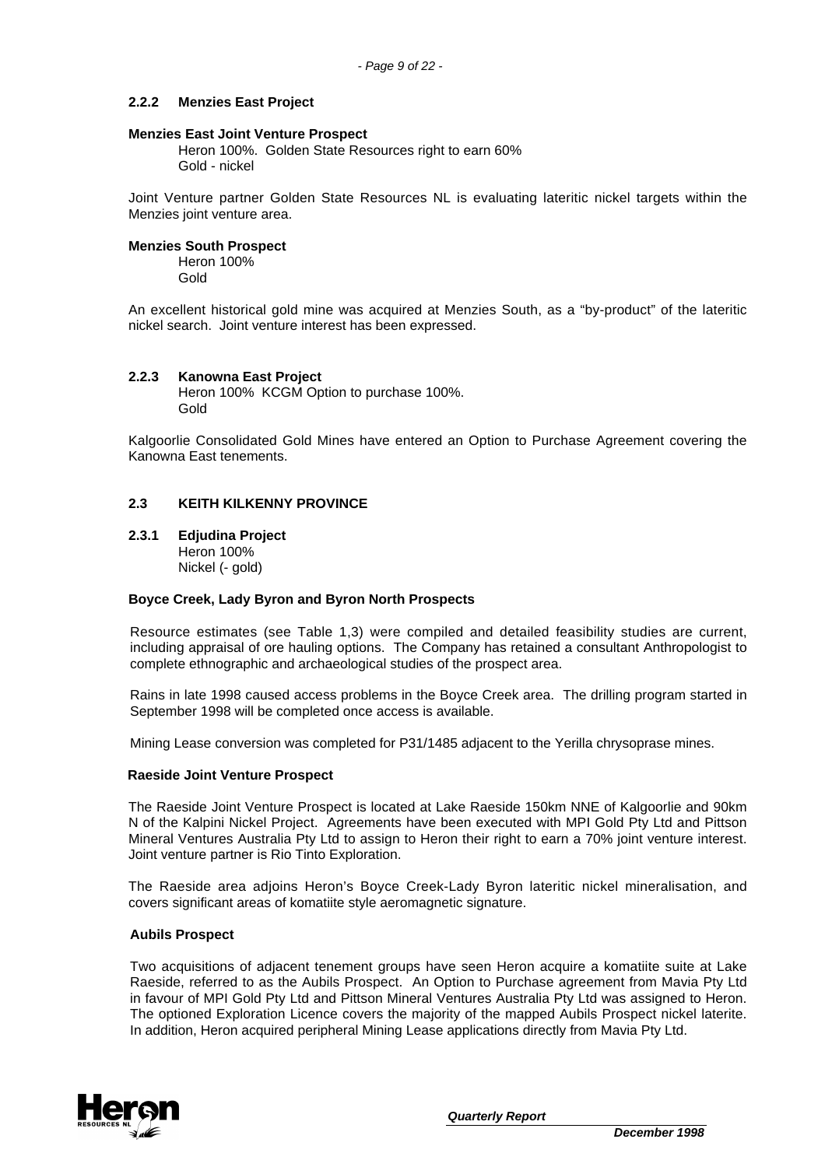#### **2.2.2 Menzies East Project**

#### **Menzies East Joint Venture Prospect**

Heron 100%. Golden State Resources right to earn 60% Gold - nickel

Joint Venture partner Golden State Resources NL is evaluating lateritic nickel targets within the Menzies joint venture area.

### **Menzies South Prospect**

Heron 100% Gold

An excellent historical gold mine was acquired at Menzies South, as a "by-product" of the lateritic nickel search. Joint venture interest has been expressed.

### **2.2.3 Kanowna East Project**

Heron 100% KCGM Option to purchase 100%. Gold

Kalgoorlie Consolidated Gold Mines have entered an Option to Purchase Agreement covering the Kanowna East tenements.

### **2.3 KEITH KILKENNY PROVINCE**

# **2.3.1 Edjudina Project** Heron 100%

Nickel (- gold)

#### **Boyce Creek, Lady Byron and Byron North Prospects**

Resource estimates (see Table 1,3) were compiled and detailed feasibility studies are current, including appraisal of ore hauling options. The Company has retained a consultant Anthropologist to complete ethnographic and archaeological studies of the prospect area.

Rains in late 1998 caused access problems in the Boyce Creek area. The drilling program started in September 1998 will be completed once access is available.

Mining Lease conversion was completed for P31/1485 adjacent to the Yerilla chrysoprase mines.

#### **Raeside Joint Venture Prospect**

The Raeside Joint Venture Prospect is located at Lake Raeside 150km NNE of Kalgoorlie and 90km N of the Kalpini Nickel Project. Agreements have been executed with MPI Gold Pty Ltd and Pittson Mineral Ventures Australia Pty Ltd to assign to Heron their right to earn a 70% joint venture interest. Joint venture partner is Rio Tinto Exploration.

The Raeside area adjoins Heron's Boyce Creek-Lady Byron lateritic nickel mineralisation, and covers significant areas of komatiite style aeromagnetic signature.

#### **Aubils Prospect**

Two acquisitions of adjacent tenement groups have seen Heron acquire a komatiite suite at Lake Raeside, referred to as the Aubils Prospect. An Option to Purchase agreement from Mavia Pty Ltd in favour of MPI Gold Pty Ltd and Pittson Mineral Ventures Australia Pty Ltd was assigned to Heron. The optioned Exploration Licence covers the majority of the mapped Aubils Prospect nickel laterite. In addition, Heron acquired peripheral Mining Lease applications directly from Mavia Pty Ltd.

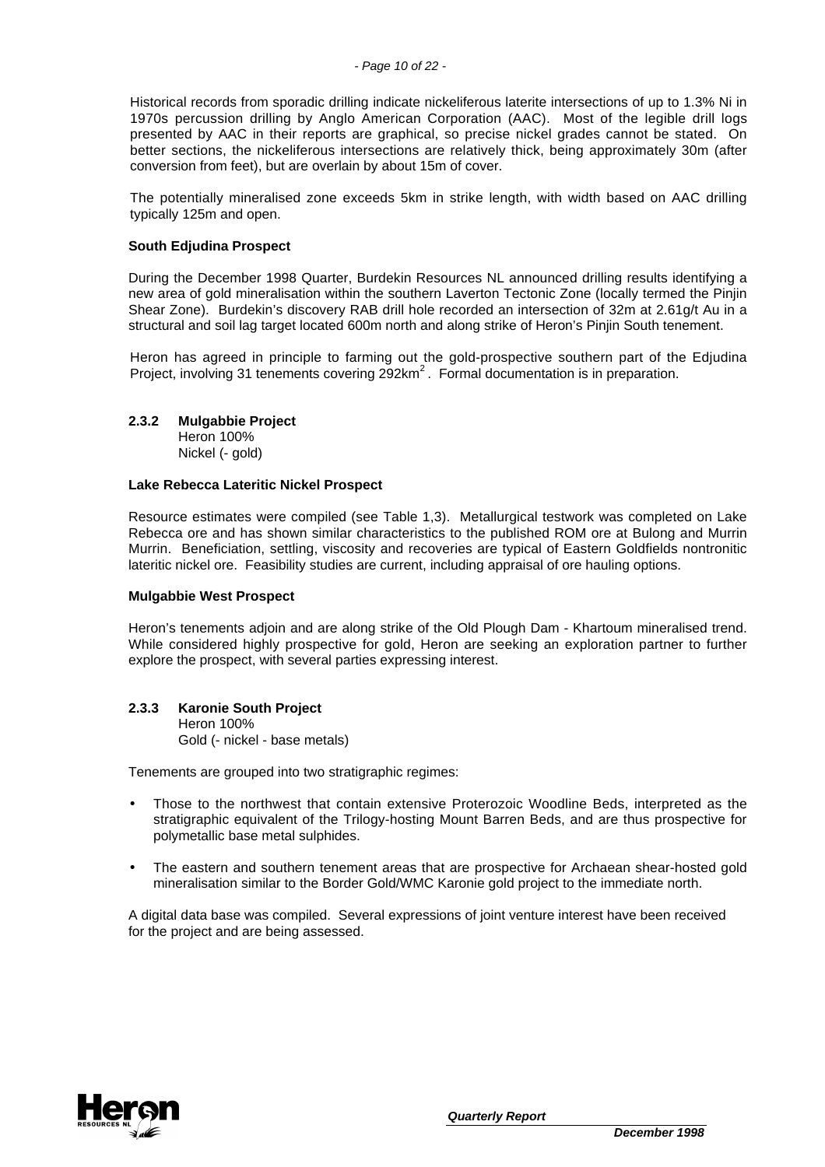Historical records from sporadic drilling indicate nickeliferous laterite intersections of up to 1.3% Ni in 1970s percussion drilling by Anglo American Corporation (AAC). Most of the legible drill logs presented by AAC in their reports are graphical, so precise nickel grades cannot be stated. On better sections, the nickeliferous intersections are relatively thick, being approximately 30m (after conversion from feet), but are overlain by about 15m of cover.

The potentially mineralised zone exceeds 5km in strike length, with width based on AAC drilling typically 125m and open.

#### **South Edjudina Prospect**

During the December 1998 Quarter, Burdekin Resources NL announced drilling results identifying a new area of gold mineralisation within the southern Laverton Tectonic Zone (locally termed the Pinjin Shear Zone). Burdekin's discovery RAB drill hole recorded an intersection of 32m at 2.61g/t Au in a structural and soil lag target located 600m north and along strike of Heron's Pinjin South tenement.

Heron has agreed in principle to farming out the gold-prospective southern part of the Edjudina Project, involving 31 tenements covering 292km<sup>2</sup>. Formal documentation is in preparation.

### **2.3.2 Mulgabbie Project**

Heron 100% Nickel (- gold)

#### **Lake Rebecca Lateritic Nickel Prospect**

Resource estimates were compiled (see Table 1,3). Metallurgical testwork was completed on Lake Rebecca ore and has shown similar characteristics to the published ROM ore at Bulong and Murrin Murrin. Beneficiation, settling, viscosity and recoveries are typical of Eastern Goldfields nontronitic lateritic nickel ore. Feasibility studies are current, including appraisal of ore hauling options.

#### **Mulgabbie West Prospect**

Heron's tenements adjoin and are along strike of the Old Plough Dam - Khartoum mineralised trend. While considered highly prospective for gold, Heron are seeking an exploration partner to further explore the prospect, with several parties expressing interest.

#### **2.3.3 Karonie South Project**

Heron 100% Gold (- nickel - base metals)

Tenements are grouped into two stratigraphic regimes:

- Those to the northwest that contain extensive Proterozoic Woodline Beds, interpreted as the stratigraphic equivalent of the Trilogy-hosting Mount Barren Beds, and are thus prospective for polymetallic base metal sulphides.
- The eastern and southern tenement areas that are prospective for Archaean shear-hosted gold mineralisation similar to the Border Gold/WMC Karonie gold project to the immediate north.

A digital data base was compiled. Several expressions of joint venture interest have been received for the project and are being assessed.

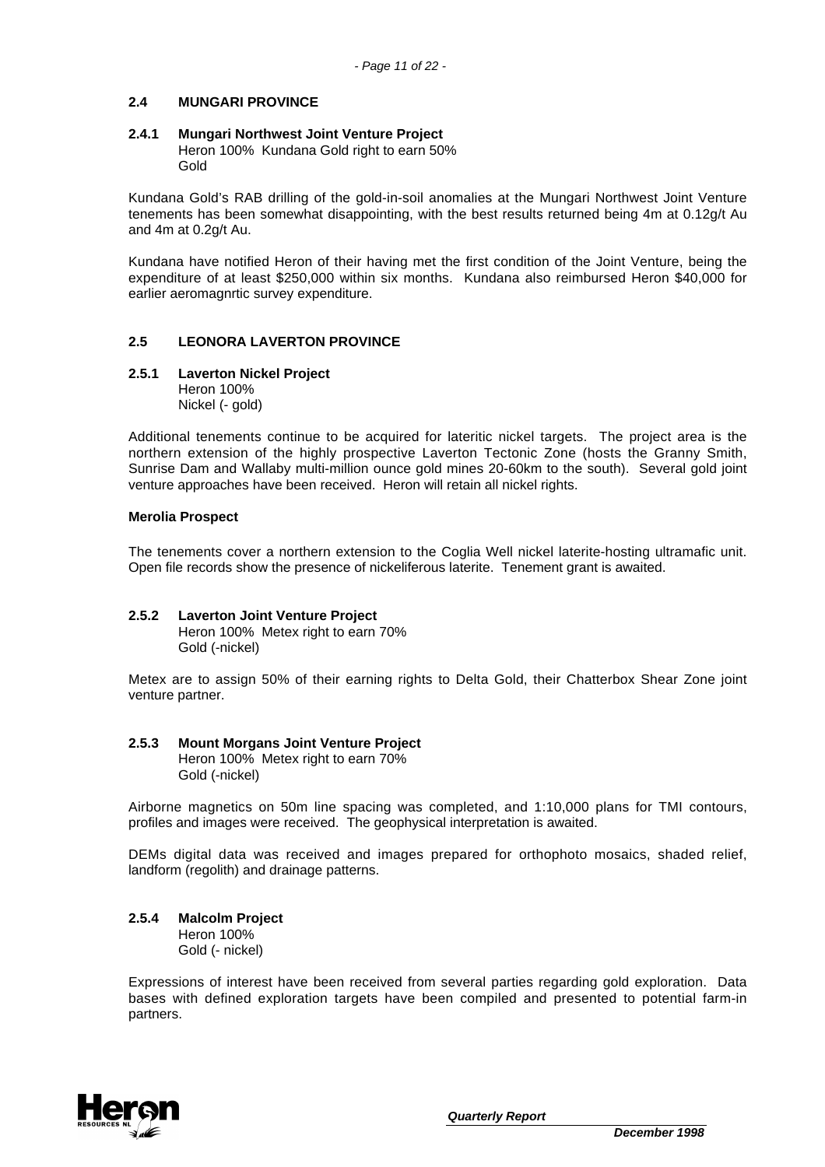### **2.4 MUNGARI PROVINCE**

# **2.4.1 Mungari Northwest Joint Venture Project**

Heron 100% Kundana Gold right to earn 50% Gold

Kundana Gold's RAB drilling of the gold-in-soil anomalies at the Mungari Northwest Joint Venture tenements has been somewhat disappointing, with the best results returned being 4m at 0.12g/t Au and 4m at 0.2g/t Au.

Kundana have notified Heron of their having met the first condition of the Joint Venture, being the expenditure of at least \$250,000 within six months. Kundana also reimbursed Heron \$40,000 for earlier aeromagnrtic survey expenditure.

## **2.5 LEONORA LAVERTON PROVINCE**

## **2.5.1 Laverton Nickel Project**

Heron 100% Nickel (- gold)

Additional tenements continue to be acquired for lateritic nickel targets. The project area is the northern extension of the highly prospective Laverton Tectonic Zone (hosts the Granny Smith, Sunrise Dam and Wallaby multi-million ounce gold mines 20-60km to the south). Several gold joint venture approaches have been received. Heron will retain all nickel rights.

### **Merolia Prospect**

The tenements cover a northern extension to the Coglia Well nickel laterite-hosting ultramafic unit. Open file records show the presence of nickeliferous laterite. Tenement grant is awaited.

### **2.5.2 Laverton Joint Venture Project**

Heron 100% Metex right to earn 70% Gold (-nickel)

Metex are to assign 50% of their earning rights to Delta Gold, their Chatterbox Shear Zone joint venture partner.

# **2.5.3 Mount Morgans Joint Venture Project**

Heron 100% Metex right to earn 70% Gold (-nickel)

Airborne magnetics on 50m line spacing was completed, and 1:10,000 plans for TMI contours, profiles and images were received. The geophysical interpretation is awaited.

DEMs digital data was received and images prepared for orthophoto mosaics, shaded relief, landform (regolith) and drainage patterns.

### **2.5.4 Malcolm Project**

Heron 100% Gold (- nickel)

Expressions of interest have been received from several parties regarding gold exploration. Data bases with defined exploration targets have been compiled and presented to potential farm-in partners.

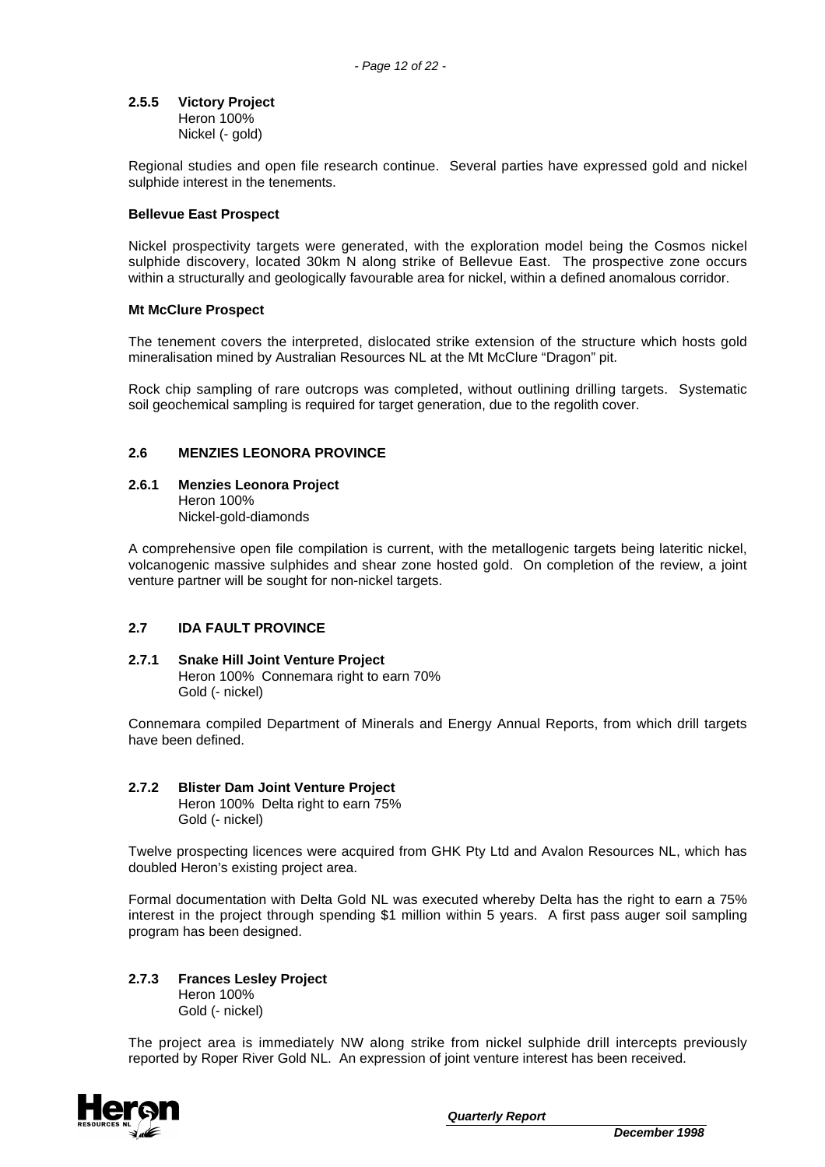#### **2.5.5 Victory Project** Heron 100%

Nickel (- gold)

Regional studies and open file research continue. Several parties have expressed gold and nickel sulphide interest in the tenements.

### **Bellevue East Prospect**

Nickel prospectivity targets were generated, with the exploration model being the Cosmos nickel sulphide discovery, located 30km N along strike of Bellevue East. The prospective zone occurs within a structurally and geologically favourable area for nickel, within a defined anomalous corridor.

#### **Mt McClure Prospect**

The tenement covers the interpreted, dislocated strike extension of the structure which hosts gold mineralisation mined by Australian Resources NL at the Mt McClure "Dragon" pit.

Rock chip sampling of rare outcrops was completed, without outlining drilling targets. Systematic soil geochemical sampling is required for target generation, due to the regolith cover.

### **2.6 MENZIES LEONORA PROVINCE**

**2.6.1 Menzies Leonora Project** Heron 100% Nickel-gold-diamonds

A comprehensive open file compilation is current, with the metallogenic targets being lateritic nickel, volcanogenic massive sulphides and shear zone hosted gold. On completion of the review, a joint venture partner will be sought for non-nickel targets.

### **2.7 IDA FAULT PROVINCE**

#### **2.7.1 Snake Hill Joint Venture Project**

Heron 100% Connemara right to earn 70% Gold (- nickel)

Connemara compiled Department of Minerals and Energy Annual Reports, from which drill targets have been defined.

# **2.7.2 Blister Dam Joint Venture Project**

Heron 100% Delta right to earn 75% Gold (- nickel)

Twelve prospecting licences were acquired from GHK Pty Ltd and Avalon Resources NL, which has doubled Heron's existing project area.

Formal documentation with Delta Gold NL was executed whereby Delta has the right to earn a 75% interest in the project through spending \$1 million within 5 years. A first pass auger soil sampling program has been designed.

#### **2.7.3 Frances Lesley Project** Heron 100%

Gold (- nickel)

The project area is immediately NW along strike from nickel sulphide drill intercepts previously reported by Roper River Gold NL. An expression of joint venture interest has been received.

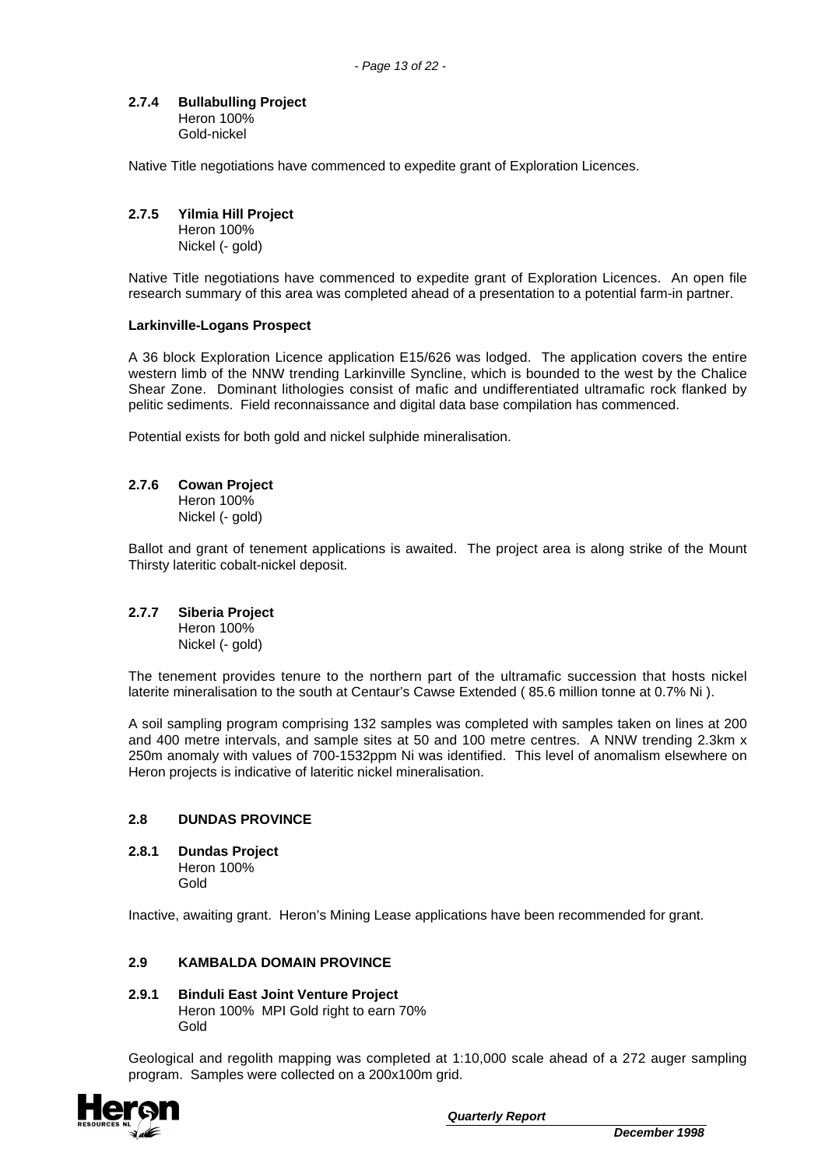# **2.7.4 Bullabulling Project**

Heron 100% Gold-nickel

Native Title negotiations have commenced to expedite grant of Exploration Licences.

### **2.7.5 Yilmia Hill Project**

Heron 100% Nickel (- gold)

Native Title negotiations have commenced to expedite grant of Exploration Licences. An open file research summary of this area was completed ahead of a presentation to a potential farm-in partner.

### **Larkinville-Logans Prospect**

A 36 block Exploration Licence application E15/626 was lodged. The application covers the entire western limb of the NNW trending Larkinville Syncline, which is bounded to the west by the Chalice Shear Zone. Dominant lithologies consist of mafic and undifferentiated ultramafic rock flanked by pelitic sediments. Field reconnaissance and digital data base compilation has commenced.

Potential exists for both gold and nickel sulphide mineralisation.

## **2.7.6 Cowan Project**

Heron 100% Nickel (- gold)

Ballot and grant of tenement applications is awaited. The project area is along strike of the Mount Thirsty lateritic cobalt-nickel deposit.

### **2.7.7 Siberia Project**

Heron 100% Nickel (- gold)

The tenement provides tenure to the northern part of the ultramafic succession that hosts nickel laterite mineralisation to the south at Centaur's Cawse Extended ( 85.6 million tonne at 0.7% Ni ).

A soil sampling program comprising 132 samples was completed with samples taken on lines at 200 and 400 metre intervals, and sample sites at 50 and 100 metre centres. A NNW trending 2.3km x 250m anomaly with values of 700-1532ppm Ni was identified. This level of anomalism elsewhere on Heron projects is indicative of lateritic nickel mineralisation.

### **2.8 DUNDAS PROVINCE**

**2.8.1 Dundas Project** Heron 100% Gold

Inactive, awaiting grant. Heron's Mining Lease applications have been recommended for grant.

### **2.9 KAMBALDA DOMAIN PROVINCE**

#### **2.9.1 Binduli East Joint Venture Project** Heron 100% MPI Gold right to earn 70% Gold

Geological and regolith mapping was completed at 1:10,000 scale ahead of a 272 auger sampling program. Samples were collected on a 200x100m grid.

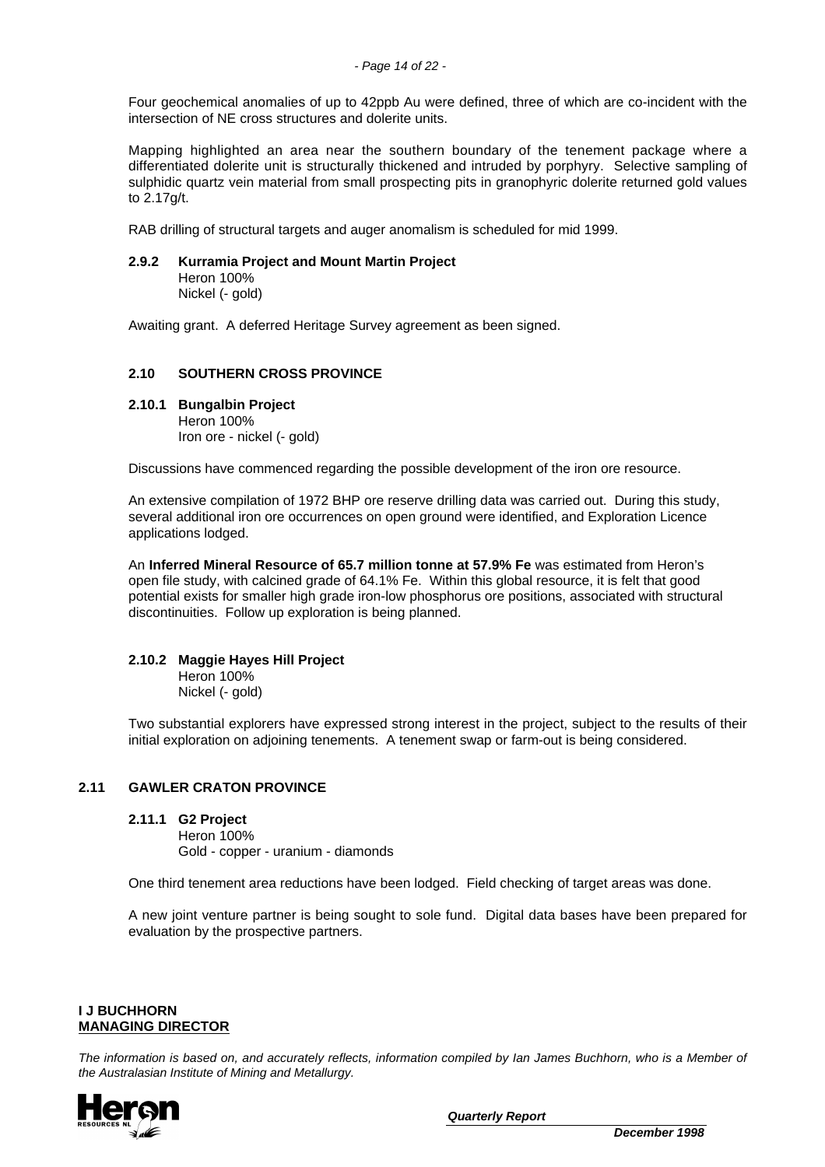Four geochemical anomalies of up to 42ppb Au were defined, three of which are co-incident with the intersection of NE cross structures and dolerite units.

Mapping highlighted an area near the southern boundary of the tenement package where a differentiated dolerite unit is structurally thickened and intruded by porphyry. Selective sampling of sulphidic quartz vein material from small prospecting pits in granophyric dolerite returned gold values to 2.17g/t.

RAB drilling of structural targets and auger anomalism is scheduled for mid 1999.

#### **2.9.2 Kurramia Project and Mount Martin Project** Heron 100% Nickel (- gold)

Awaiting grant. A deferred Heritage Survey agreement as been signed.

### **2.10 SOUTHERN CROSS PROVINCE**

#### **2.10.1 Bungalbin Project**

Heron 100% Iron ore - nickel (- gold)

Discussions have commenced regarding the possible development of the iron ore resource.

An extensive compilation of 1972 BHP ore reserve drilling data was carried out. During this study, several additional iron ore occurrences on open ground were identified, and Exploration Licence applications lodged.

An **Inferred Mineral Resource of 65.7 million tonne at 57.9% Fe** was estimated from Heron's open file study, with calcined grade of 64.1% Fe. Within this global resource, it is felt that good potential exists for smaller high grade iron-low phosphorus ore positions, associated with structural discontinuities. Follow up exploration is being planned.

### **2.10.2 Maggie Hayes Hill Project**

Heron 100% Nickel (- gold)

Two substantial explorers have expressed strong interest in the project, subject to the results of their initial exploration on adjoining tenements. A tenement swap or farm-out is being considered.

### **2.11 GAWLER CRATON PROVINCE**

#### **2.11.1 G2 Project**

Heron 100% Gold - copper - uranium - diamonds

One third tenement area reductions have been lodged. Field checking of target areas was done.

A new joint venture partner is being sought to sole fund. Digital data bases have been prepared for evaluation by the prospective partners.

#### **I J BUCHHORN MANAGING DIRECTOR**

*The information is based on, and accurately reflects, information compiled by Ian James Buchhorn, who is a Member of the Australasian Institute of Mining and Metallurgy.*

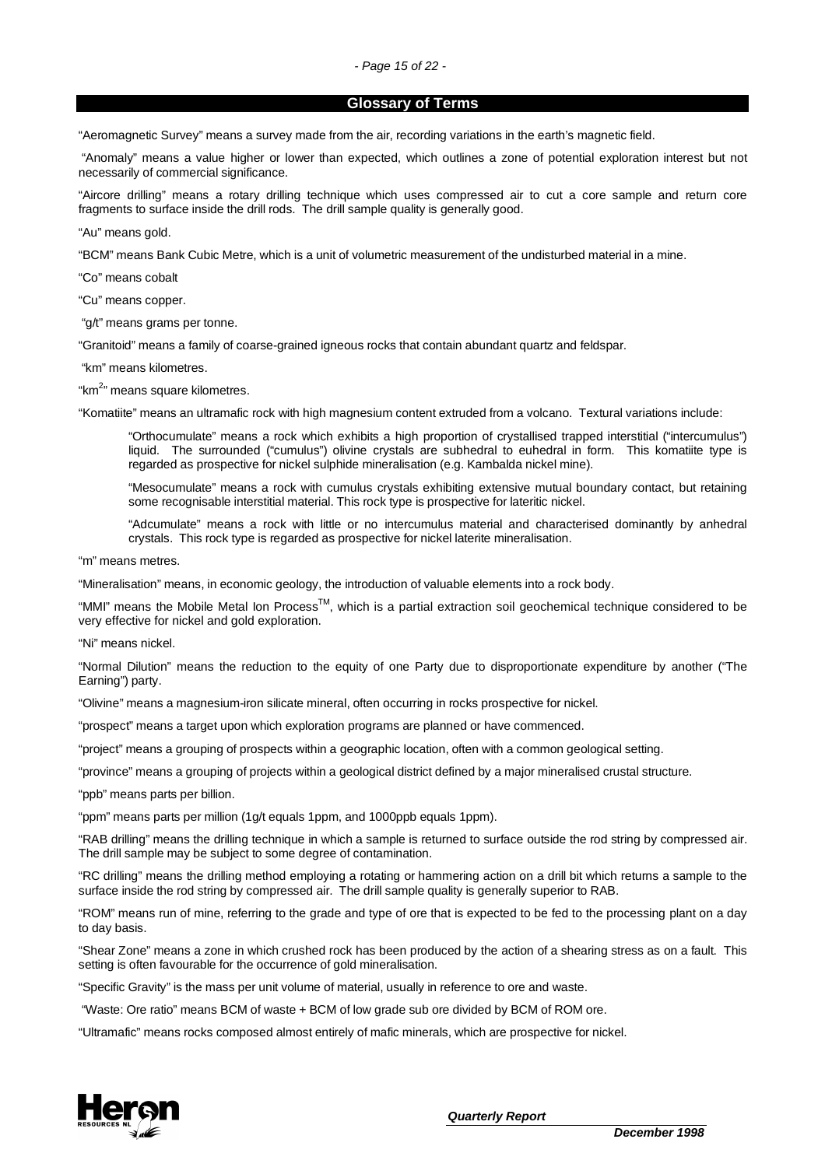#### **Glossary of Terms**

"Aeromagnetic Survey" means a survey made from the air, recording variations in the earth's magnetic field.

"Anomaly" means a value higher or lower than expected, which outlines a zone of potential exploration interest but not necessarily of commercial significance.

"Aircore drilling" means a rotary drilling technique which uses compressed air to cut a core sample and return core fragments to surface inside the drill rods. The drill sample quality is generally good.

"Au" means gold.

"BCM" means Bank Cubic Metre, which is a unit of volumetric measurement of the undisturbed material in a mine.

"Co" means cobalt

"Cu" means copper.

"g/t" means grams per tonne.

"Granitoid" means a family of coarse-grained igneous rocks that contain abundant quartz and feldspar.

"km" means kilometres.

" $km<sup>2</sup>$ " means square kilometres.

"Komatiite" means an ultramafic rock with high magnesium content extruded from a volcano. Textural variations include:

"Orthocumulate" means a rock which exhibits a high proportion of crystallised trapped interstitial ("intercumulus") liquid. The surrounded ("cumulus") olivine crystals are subhedral to euhedral in form. This komatiite type is regarded as prospective for nickel sulphide mineralisation (e.g. Kambalda nickel mine).

"Mesocumulate" means a rock with cumulus crystals exhibiting extensive mutual boundary contact, but retaining some recognisable interstitial material. This rock type is prospective for lateritic nickel.

"Adcumulate" means a rock with little or no intercumulus material and characterised dominantly by anhedral crystals. This rock type is regarded as prospective for nickel laterite mineralisation.

"m" means metres.

"Mineralisation" means, in economic geology, the introduction of valuable elements into a rock body.

"MMI" means the Mobile Metal Ion Process<sup>TM</sup>, which is a partial extraction soil geochemical technique considered to be very effective for nickel and gold exploration.

"Ni" means nickel.

"Normal Dilution" means the reduction to the equity of one Party due to disproportionate expenditure by another ("The Earning") party.

"Olivine" means a magnesium-iron silicate mineral, often occurring in rocks prospective for nickel.

"prospect" means a target upon which exploration programs are planned or have commenced.

"project" means a grouping of prospects within a geographic location, often with a common geological setting.

"province" means a grouping of projects within a geological district defined by a major mineralised crustal structure.

"ppb" means parts per billion.

"ppm" means parts per million (1 g/t equals 1 ppm, and 1000 ppb equals 1 ppm).

"RAB drilling" means the drilling technique in which a sample is returned to surface outside the rod string by compressed air. The drill sample may be subject to some degree of contamination.

"RC drilling" means the drilling method emploving a rotating or hammering action on a drill bit which returns a sample to the surface inside the rod string by compressed air. The drill sample quality is generally superior to RAB.

"ROM" means run of mine, referring to the grade and type of ore that is expected to be fed to the processing plant on a day to day basis.

"Shear Zone" means a zone in which crushed rock has been produced by the action of a shearing stress as on a fault. This setting is often favourable for the occurrence of gold mineralisation.

"Specific Gravity" is the mass per unit volume of material, usually in reference to ore and waste.

"Waste: Ore ratio" means BCM of waste + BCM of low grade sub ore divided by BCM of ROM ore.

"Ultramafic" means rocks composed almost entirely of mafic minerals, which are prospective for nickel.

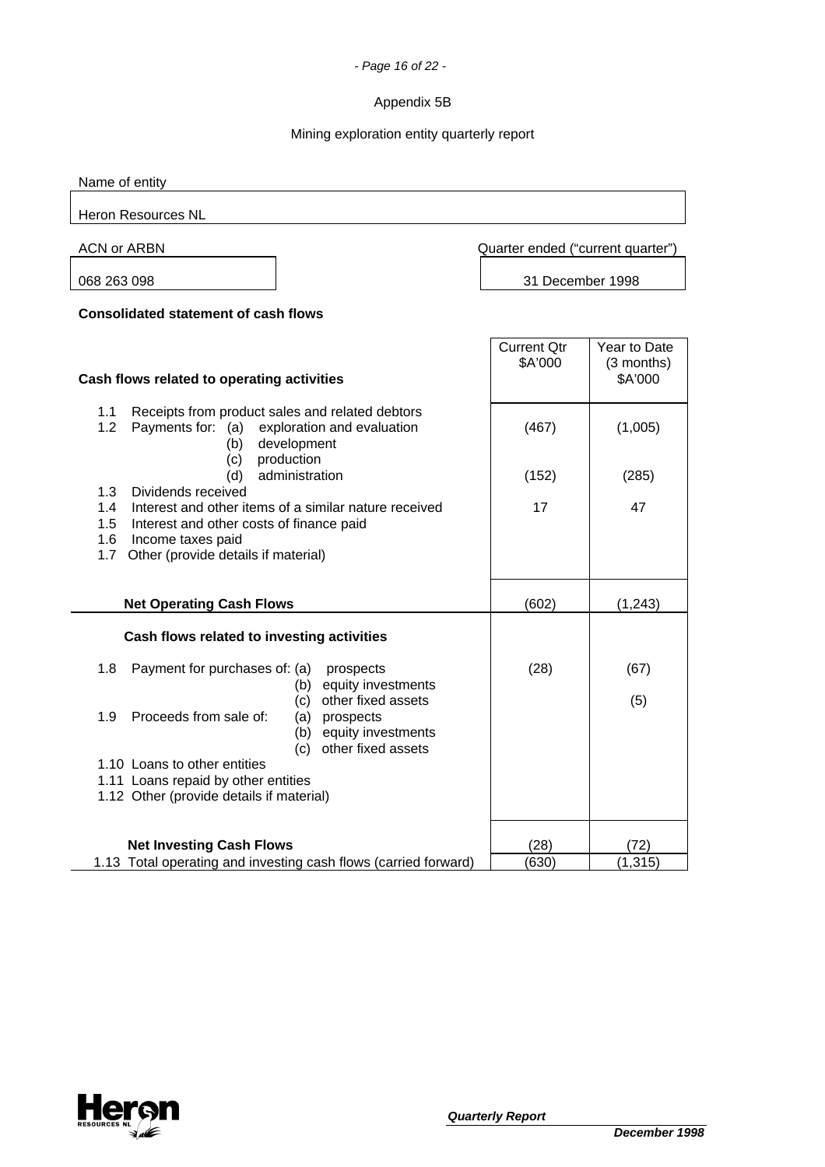### *- Page 16 of 22 -*

## Appendix 5B

### Mining exploration entity quarterly report

Name of entity Heron Resources NL ACN or ARBN **ACN** or ARBN **ACN ARBN Quarter ended ("current quarter")** 068 263 098 31 December 1998 **Consolidated statement of cash flows Cash flows related to operating activities** Current Qtr \$A'000 Year to Date (3 months) \$A'000 1.1 Receipts from product sales and related debtors 1.2 Payments for: (a) exploration and evaluation  $(467)$  (1,005) (b) development<br>(c) production production (d) administration (152) (285) 1.3 Dividends received 1.4 Interest and other items of a similar nature received 17 17 17 47 1.5 Interest and other costs of finance paid 1.6 Income taxes paid 1.7 Other (provide details if material) **Net Operating Cash Flows** (602) (1,243) **Cash flows related to investing activities** 1.8 Payment for purchases of: (a) prospects (28) (28) (67) (b) equity investments  $(c)$  other fixed assets  $(5)$  1.9 Proceeds from sale of: (a) prospects (b) equity investments (c) other fixed assets 1.10 Loans to other entities 1.11 Loans repaid by other entities 1.12 Other (provide details if material) **Net Investing Cash Flows** (28) (72) 1.13 Total operating and investing cash flows (carried forward)  $(630)$  (1,315)

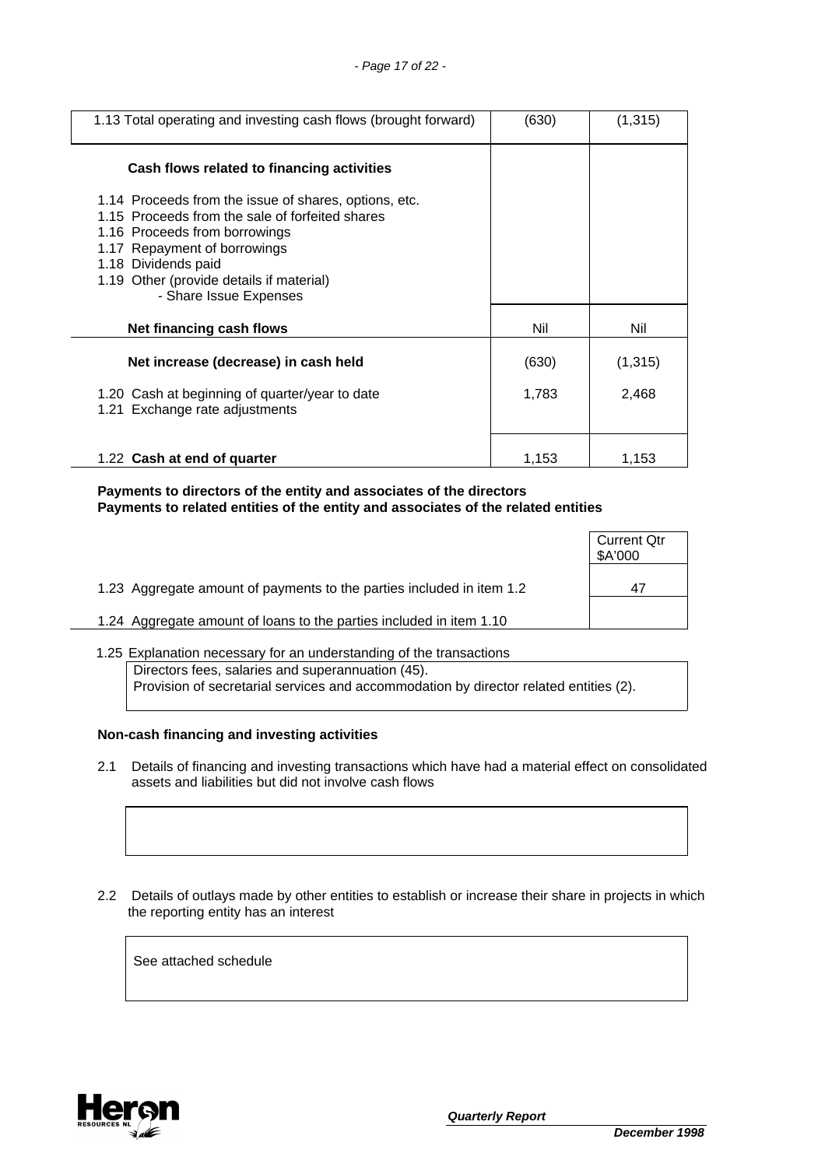| 1.13 Total operating and investing cash flows (brought forward)                                                                                                                                                                                                        | (630) | (1, 315) |
|------------------------------------------------------------------------------------------------------------------------------------------------------------------------------------------------------------------------------------------------------------------------|-------|----------|
| Cash flows related to financing activities                                                                                                                                                                                                                             |       |          |
| 1.14 Proceeds from the issue of shares, options, etc.<br>1.15 Proceeds from the sale of forfeited shares<br>1.16 Proceeds from borrowings<br>1.17 Repayment of borrowings<br>1.18 Dividends paid<br>1.19 Other (provide details if material)<br>- Share Issue Expenses |       |          |
| Net financing cash flows                                                                                                                                                                                                                                               | Nil   | Nil      |
| Net increase (decrease) in cash held                                                                                                                                                                                                                                   | (630) | (1,315)  |
| 1.20 Cash at beginning of quarter/year to date<br>1.21 Exchange rate adjustments                                                                                                                                                                                       | 1,783 | 2,468    |
| 1.22 Cash at end of quarter                                                                                                                                                                                                                                            | 1,153 | 1,153    |

 **Payments to directors of the entity and associates of the directors Payments to related entities of the entity and associates of the related entities**

|                                                                       | <b>Current Qtr</b><br>\$A'000 |
|-----------------------------------------------------------------------|-------------------------------|
| 1.23 Aggregate amount of payments to the parties included in item 1.2 | 47                            |
| 1.24 Aggregate amount of loans to the parties included in item 1.10   |                               |

1.25 Explanation necessary for an understanding of the transactions Directors fees, salaries and superannuation (45). Provision of secretarial services and accommodation by director related entities (2).

### **Non-cash financing and investing activities**

- 2.1 Details of financing and investing transactions which have had a material effect on consolidated assets and liabilities but did not involve cash flows
- 2.2 Details of outlays made by other entities to establish or increase their share in projects in which the reporting entity has an interest

See attached schedule

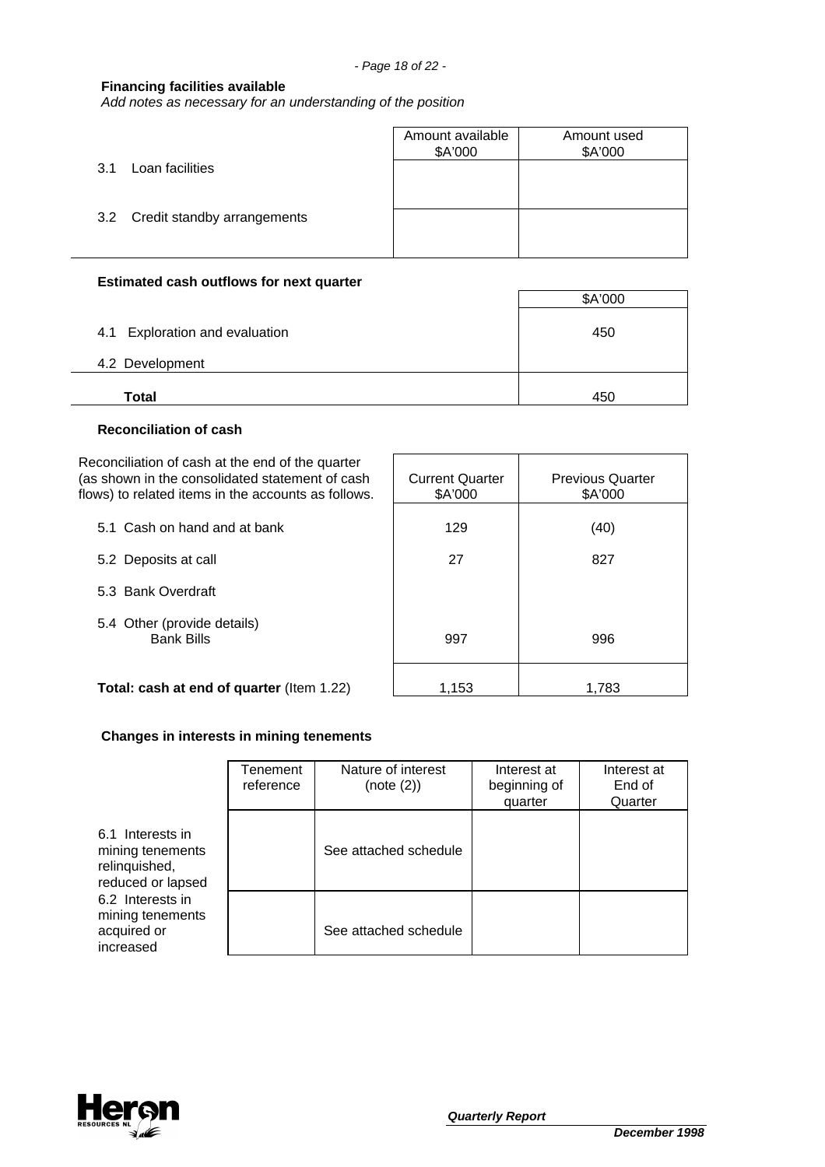### **Financing facilities available**

*Add notes as necessary for an understanding of the position*

|                                 | Amount available<br>\$A'000 | Amount used<br>\$A'000 |
|---------------------------------|-----------------------------|------------------------|
| Loan facilities<br>3.1          |                             |                        |
| 3.2 Credit standby arrangements |                             |                        |
|                                 |                             |                        |

### **Estimated cash outflows for next quarter**

|                                | \$A'000 |
|--------------------------------|---------|
| 4.1 Exploration and evaluation | 450     |
| 4.2 Development                |         |
| Total                          | 450     |

#### **Reconciliation of cash**

Reconciliation of cash at the end of the quarter (as shown in the consolidated statement of cash flows) to related items in the accounts as follows.

- 5.1 Cash on hand and at bank
- 5.2 Deposits at call
- 5.3 Bank Overdraft
- 5.4 Other (provide details) **Bank Bills**

| <b>Current Quarter</b><br>\$A'000 | <b>Previous Quarter</b><br>\$A'000 |
|-----------------------------------|------------------------------------|
| 129                               | (40)                               |
| 27                                | 827                                |
|                                   |                                    |
| 997                               | 996                                |
| 1 153                             | 1 783                              |

**Total: cash at end of quarter** (Item 1.22)

### **Changes in interests in mining tenements**

|                                                                                                                                                | Tenement<br>reference | Nature of interest<br>(note (2)) | Interest at<br>beginning of<br>quarter | Interest at<br>End of<br>Quarter |
|------------------------------------------------------------------------------------------------------------------------------------------------|-----------------------|----------------------------------|----------------------------------------|----------------------------------|
| 6.1 Interests in<br>mining tenements<br>relinquished,<br>reduced or lapsed<br>6.2 Interests in<br>mining tenements<br>acquired or<br>increased |                       | See attached schedule            |                                        |                                  |
|                                                                                                                                                |                       | See attached schedule            |                                        |                                  |

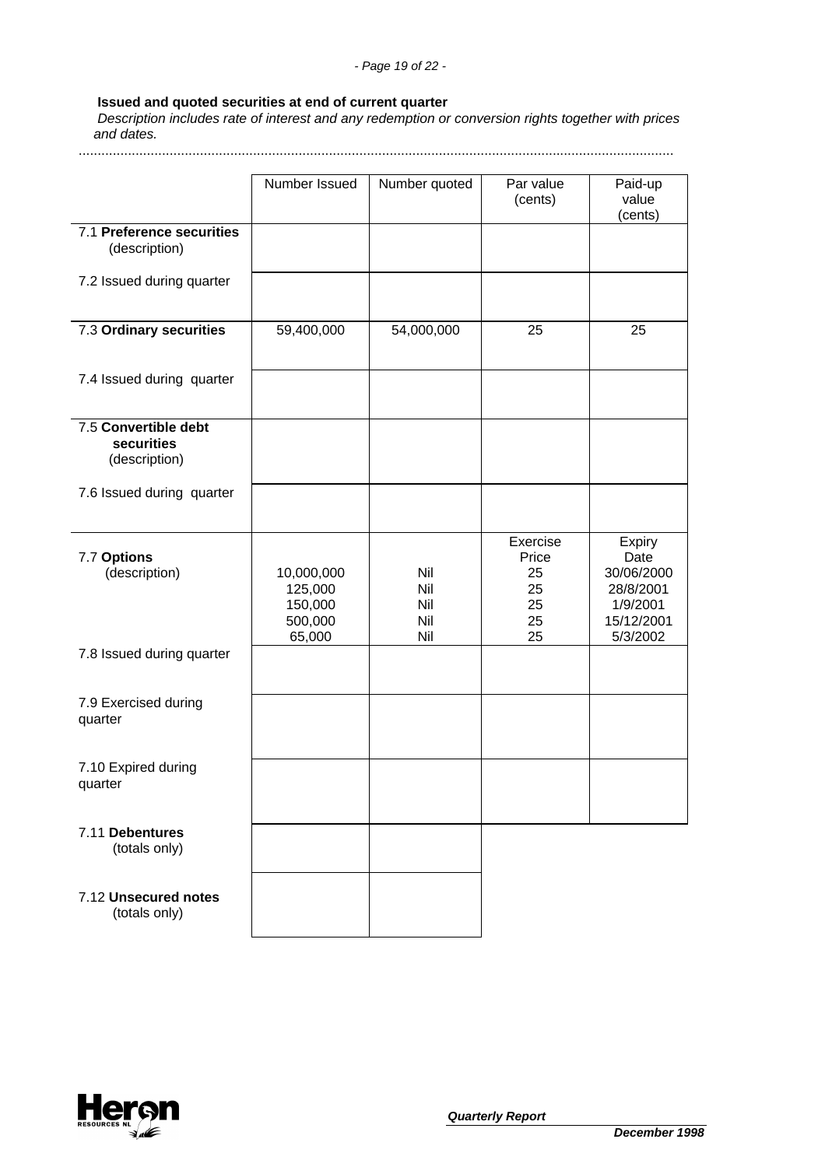### **Issued and quoted securities at end of current quarter**

 *Description includes rate of interest and any redemption or conversion rights together with prices and dates.*

.............................................................................................................................................................

|                                                     | Number Issued                                         | Number quoted                   | Par value<br>(cents)                            | Paid-up<br>value<br>(cents)                                                     |
|-----------------------------------------------------|-------------------------------------------------------|---------------------------------|-------------------------------------------------|---------------------------------------------------------------------------------|
| 7.1 Preference securities<br>(description)          |                                                       |                                 |                                                 |                                                                                 |
| 7.2 Issued during quarter                           |                                                       |                                 |                                                 |                                                                                 |
| 7.3 Ordinary securities                             | 59,400,000                                            | 54,000,000                      | 25                                              | 25                                                                              |
| 7.4 Issued during quarter                           |                                                       |                                 |                                                 |                                                                                 |
| 7.5 Convertible debt<br>securities<br>(description) |                                                       |                                 |                                                 |                                                                                 |
| 7.6 Issued during quarter                           |                                                       |                                 |                                                 |                                                                                 |
| 7.7 Options<br>(description)                        | 10,000,000<br>125,000<br>150,000<br>500,000<br>65,000 | Nil<br>Nil<br>Nil<br>Nil<br>Nil | Exercise<br>Price<br>25<br>25<br>25<br>25<br>25 | Expiry<br>Date<br>30/06/2000<br>28/8/2001<br>1/9/2001<br>15/12/2001<br>5/3/2002 |
| 7.8 Issued during quarter                           |                                                       |                                 |                                                 |                                                                                 |
| 7.9 Exercised during<br>quarter                     |                                                       |                                 |                                                 |                                                                                 |
| 7.10 Expired during<br>quarter                      |                                                       |                                 |                                                 |                                                                                 |
| 7.11 Debentures<br>(totals only)                    |                                                       |                                 |                                                 |                                                                                 |
| 7.12 Unsecured notes<br>(totals only)               |                                                       |                                 |                                                 |                                                                                 |

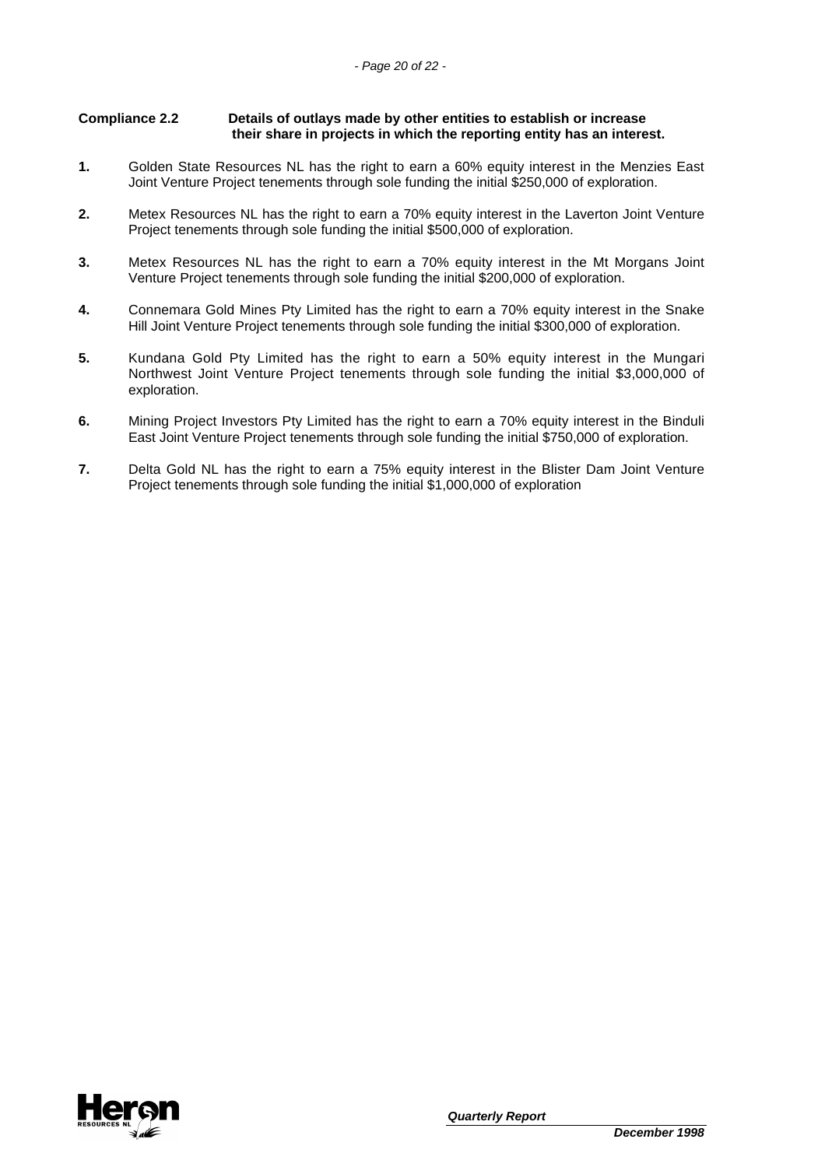#### **Compliance 2.2 Details of outlays made by other entities to establish or increase their share in projects in which the reporting entity has an interest.**

- **1.** Golden State Resources NL has the right to earn a 60% equity interest in the Menzies East Joint Venture Project tenements through sole funding the initial \$250,000 of exploration.
- **2.** Metex Resources NL has the right to earn a 70% equity interest in the Laverton Joint Venture Project tenements through sole funding the initial \$500,000 of exploration.
- **3.** Metex Resources NL has the right to earn a 70% equity interest in the Mt Morgans Joint Venture Project tenements through sole funding the initial \$200,000 of exploration.
- **4.** Connemara Gold Mines Pty Limited has the right to earn a 70% equity interest in the Snake Hill Joint Venture Project tenements through sole funding the initial \$300,000 of exploration.
- **5.** Kundana Gold Pty Limited has the right to earn a 50% equity interest in the Mungari Northwest Joint Venture Project tenements through sole funding the initial \$3,000,000 of exploration.
- **6.** Mining Project Investors Pty Limited has the right to earn a 70% equity interest in the Binduli East Joint Venture Project tenements through sole funding the initial \$750,000 of exploration.
- **7.** Delta Gold NL has the right to earn a 75% equity interest in the Blister Dam Joint Venture Project tenements through sole funding the initial \$1,000,000 of exploration

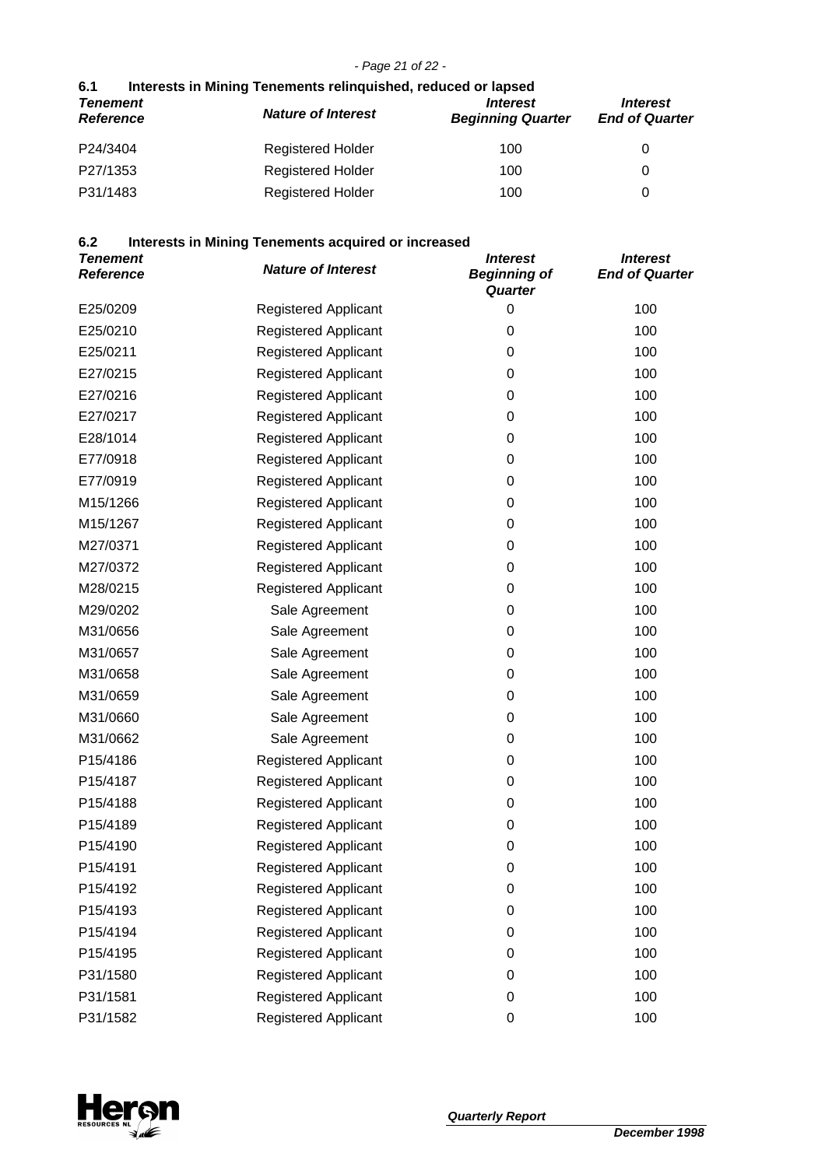#### *- Page 21 of 22 -*

#### **6.1 Interests in Mining Tenements relinquished, reduced or lapsed** *Tenement* **Nature of Interest** *Interest Beginning Quarter Interest End of Quarter* P24/3404 Registered Holder 100 0 P27/1353 Registered Holder 100 100 0 P31/1483 Registered Holder 100 0

### **6.2 Interests in Mining Tenements acquired or increased**

| <b>Tenement</b><br><b>Reference</b> | <b>Nature of Interest</b>   | <b>Interest</b><br><b>Beginning of</b><br>Quarter | <b>Interest</b><br><b>End of Quarter</b> |
|-------------------------------------|-----------------------------|---------------------------------------------------|------------------------------------------|
| E25/0209                            | <b>Registered Applicant</b> | 0                                                 | 100                                      |
| E25/0210                            | <b>Registered Applicant</b> | 0                                                 | 100                                      |
| E25/0211                            | <b>Registered Applicant</b> | 0                                                 | 100                                      |
| E27/0215                            | <b>Registered Applicant</b> | 0                                                 | 100                                      |
| E27/0216                            | <b>Registered Applicant</b> | 0                                                 | 100                                      |
| E27/0217                            | <b>Registered Applicant</b> | 0                                                 | 100                                      |
| E28/1014                            | <b>Registered Applicant</b> | 0                                                 | 100                                      |
| E77/0918                            | <b>Registered Applicant</b> | 0                                                 | 100                                      |
| E77/0919                            | <b>Registered Applicant</b> | 0                                                 | 100                                      |
| M15/1266                            | <b>Registered Applicant</b> | 0                                                 | 100                                      |
| M15/1267                            | <b>Registered Applicant</b> | 0                                                 | 100                                      |
| M27/0371                            | <b>Registered Applicant</b> | 0                                                 | 100                                      |
| M27/0372                            | <b>Registered Applicant</b> | 0                                                 | 100                                      |
| M28/0215                            | <b>Registered Applicant</b> | 0                                                 | 100                                      |
| M29/0202                            | Sale Agreement              | 0                                                 | 100                                      |
| M31/0656                            | Sale Agreement              | $\mathbf 0$                                       | 100                                      |
| M31/0657                            | Sale Agreement              | 0                                                 | 100                                      |
| M31/0658                            | Sale Agreement              | 0                                                 | 100                                      |
| M31/0659                            | Sale Agreement              | 0                                                 | 100                                      |
| M31/0660                            | Sale Agreement              | 0                                                 | 100                                      |
| M31/0662                            | Sale Agreement              | 0                                                 | 100                                      |
| P15/4186                            | <b>Registered Applicant</b> | 0                                                 | 100                                      |
| P15/4187                            | <b>Registered Applicant</b> | 0                                                 | 100                                      |
| P15/4188                            | <b>Registered Applicant</b> | 0                                                 | 100                                      |
| P15/4189                            | <b>Registered Applicant</b> | 0                                                 | 100                                      |
| P15/4190                            | <b>Registered Applicant</b> | $\mathbf 0$                                       | 100                                      |
| P15/4191                            | <b>Registered Applicant</b> | 0                                                 | 100                                      |
| P15/4192                            | <b>Registered Applicant</b> | $\boldsymbol{0}$                                  | 100                                      |
| P15/4193                            | <b>Registered Applicant</b> | $\mathbf 0$                                       | 100                                      |
| P15/4194                            | <b>Registered Applicant</b> | 0                                                 | 100                                      |
| P15/4195                            | <b>Registered Applicant</b> | 0                                                 | 100                                      |
| P31/1580                            | <b>Registered Applicant</b> | 0                                                 | 100                                      |
| P31/1581                            | <b>Registered Applicant</b> | 0                                                 | 100                                      |
| P31/1582                            | <b>Registered Applicant</b> | $\mathbf 0$                                       | 100                                      |